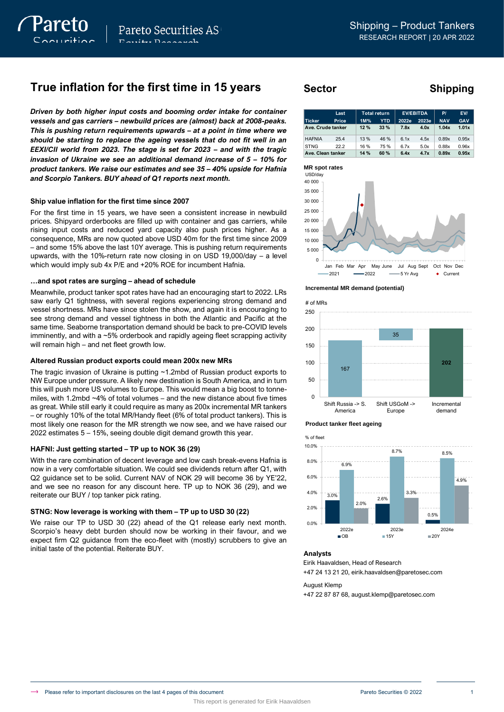# **True** inflation for the first time in 15 years Sector **Shipping**

*Driven by both higher input costs and booming order intake for container vessels and gas carriers – newbuild prices are (almost) back at 2008-peaks. This is pushing return requirements upwards – at a point in time where we should be starting to replace the ageing vessels that do not fit well in an EEXI/CII world from 2023. The stage is set for 2023 – and with the tragic invasion of Ukraine we see an additional demand increase of 5 – 10% for product tankers. We raise our estimates and see 35 – 40% upside for Hafnia and Scorpio Tankers. BUY ahead of Q1 reports next month.*

### **Ship value inflation for the first time since 2007**

For the first time in 15 years, we have seen a consistent increase in newbuild prices. Shipyard orderbooks are filled up with container and gas carriers, while rising input costs and reduced yard capacity also push prices higher. As a consequence, MRs are now quoted above USD 40m for the first time since 2009 – and some 15% above the last 10Y average. This is pushing return requirements upwards, with the 10%-return rate now closing in on USD 19,000/day – a level which would imply sub 4x P/E and +20% ROE for incumbent Hafnia.

### **…and spot rates are surging – ahead of schedule**

Meanwhile, product tanker spot rates have had an encouraging start to 2022. LRs saw early Q1 tightness, with several regions experiencing strong demand and vessel shortness. MRs have since stolen the show, and again it is encouraging to see strong demand and vessel tightness in both the Atlantic and Pacific at the same time. Seaborne transportation demand should be back to pre-COVID levels imminently, and with a ~5% orderbook and rapidly ageing fleet scrapping activity will remain high – and net fleet growth low.

### **Altered Russian product exports could mean 200x new MRs**

The tragic invasion of Ukraine is putting ~1.2mbd of Russian product exports to NW Europe under pressure. A likely new destination is South America, and in turn this will push more US volumes to Europe. This would mean a big boost to tonnemiles, with 1.2mbd ~4% of total volumes – and the new distance about five times as great. While still early it could require as many as 200x incremental MR tankers – or roughly 10% of the total MR/Handy fleet (6% of total product tankers). This is most likely one reason for the MR strength we now see, and we have raised our 2022 estimates 5 – 15%, seeing double digit demand growth this year.

### **HAFNI: Just getting started – TP up to NOK 36 (29)**

With the rare combination of decent leverage and low cash break-evens Hafnia is now in a very comfortable situation. We could see dividends return after Q1, with Q2 guidance set to be solid. Current NAV of NOK 29 will become 36 by YE'22, and we see no reason for any discount here. TP up to NOK 36 (29), and we reiterate our BUY / top tanker pick rating.

#### **STNG: Now leverage is working with them – TP up to USD 30 (22)**

We raise our TP to USD 30 (22) ahead of the Q1 release early next month. Scorpio's heavy debt burden should now be working in their favour, and we expect firm Q2 guidance from the eco-fleet with (mostly) scrubbers to give an initial taste of the potential. Reiterate BUY.

|                   | Last  |      | <b>Total return</b> |       | <b>EV/EBITDA</b> | PI         | <b>EV/</b> |
|-------------------|-------|------|---------------------|-------|------------------|------------|------------|
| <b>Ticker</b>     | Price | 1M%  | YTD                 | 2022e | 2023e            | <b>NAV</b> | <b>GAV</b> |
| Ave. Crude tanker |       | 12%  | 33%                 | 7.8x  | 4.0x             | 1.04x      | 1.01x      |
| <b>HAFNIA</b>     | 25.4  | 13%  | 46 %                | 6.1x  | 4.5x             | 0.89x      | 0.95x      |
| <b>STNG</b>       | 22 2  | 16 % | 75%                 | 6.7x  | 5.0x             | 0.88x      | 0.96x      |
| Ave. Clean tanker |       | 14 % | 60%                 | 6.4x  | 4.7x             | 0.89x      | 0.95x      |



#### **Incremental MR demand (potential)**







#### **Analysts**

Eirik Haavaldsen, Head of Research

+47 24 13 21 20, eirik.haavaldsen@paretosec.com

August Klemp

+47 22 87 87 68, august.klemp@paretosec.com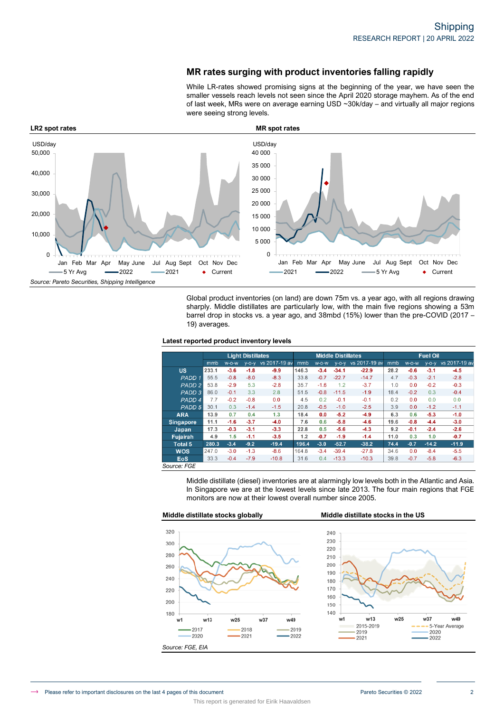# **MR rates surging with product inventories falling rapidly**

While LR-rates showed promising signs at the beginning of the year, we have seen the smaller vessels reach levels not seen since the April 2020 storage mayhem. As of the end of last week, MRs were on average earning USD ~30k/day – and virtually all major regions were seeing strong levels.



Global product inventories (on land) are down 75m vs. a year ago, with all regions drawing sharply. Middle distillates are particularly low, with the main five regions showing a 53m barrel drop in stocks vs. a year ago, and 38mbd (15%) lower than the pre-COVID (2017 – 19) averages.

#### **Latest reported product inventory levels**

|                   |       |        | <b>Light Distillates</b> |                           |       |         | <b>Middle Distillates</b> |                     |      |        | <b>Fuel Oil</b> |               |
|-------------------|-------|--------|--------------------------|---------------------------|-------|---------|---------------------------|---------------------|------|--------|-----------------|---------------|
|                   | mmb   | W-O-W  |                          | $v$ -o- $v$ vs 2017-19 av | mmb   | $W-O-W$ |                           | v-o-v vs 2017-19 av | mmb  | W-O-W  | $V-O-V$         | vs 2017-19 av |
| <b>US</b>         | 233.1 | $-3.6$ | $-1.8$                   | $-9.9$                    | 146.3 | $-3.4$  | $-34.1$                   | $-22.9$             | 28.2 | $-0.6$ | $-3.1$          | $-4.5$        |
| PADD <sub>1</sub> | 55.5  | $-0.8$ | $-8.0$                   | $-8.3$                    | 33.8  | $-0.7$  | $-22.7$                   | $-14.7$             | 4.7  | $-0.3$ | $-2.1$          | $-2.8$        |
| PADD <sub>2</sub> | 53.8  | $-2.9$ | 5.3                      | $-2.8$                    | 35.7  | $-1.6$  | 1.2                       | $-3.7$              | 1.0  | 0.0    | $-0.2$          | $-0.3$        |
| PADD <sub>3</sub> | 86.0  | $-0.1$ | 3.3                      | 2.8                       | 51.5  | $-0.8$  | $-11.5$                   | $-1.9$              | 18.4 | $-0.2$ | 0.3             | $-0.4$        |
| PADD 4            | 7.7   | $-0.2$ | $-0.8$                   | 0.0                       | 4.5   | 0.2     | $-0.1$                    | $-0.1$              | 0.2  | 0.0    | 0.0             | 0.0           |
| PADD <sub>5</sub> | 30.1  | 0.3    | $-1.4$                   | $-1.5$                    | 20.8  | $-0.5$  | $-1.0$                    | $-2.5$              | 3.9  | 0.0    | $-1.2$          | $-1.1$        |
| <b>ARA</b>        | 13.9  | 0.7    | 0.4                      | 1.3                       | 18.4  | 0.0     | $-5.2$                    | $-4.9$              | 6.3  | 0.6    | $-5.3$          | $-1.0$        |
| <b>Singapore</b>  | 11.1  | $-1.6$ | $-3.7$                   | $-4.0$                    | 7.6   | 0.6     | $-5.8$                    | $-4.6$              | 19.6 | $-0.8$ | $-4.4$          | $-3.0$        |
| Japan             | 17.3  | $-0.3$ | $-3.1$                   | $-3.3$                    | 22.8  | 0.5     | $-5.6$                    | $-4.3$              | 9.2  | $-0.1$ | $-2.4$          | $-2.6$        |
| <b>Fujairah</b>   | 4.9   | 1.5    | $-1.1$                   | $-3.5$                    | 1.2   | $-0.7$  | $-1.9$                    | $-1.4$              | 11.0 | 0.3    | 1.0             | $-0.7$        |
| <b>Total 5</b>    | 280.3 | $-3.4$ | $-9.2$                   | $-19.4$                   | 196.4 | $-3.0$  | $-52.7$                   | $-38.2$             | 74.4 | $-0.7$ | $-14.2$         | $-11.9$       |
| <b>WOS</b>        | 247.0 | $-3.0$ | $-1.3$                   | $-8.6$                    | 164.8 | $-3.4$  | $-39.4$                   | $-27.8$             | 34.6 | 0.0    | $-8.4$          | $-5.5$        |
| <b>EoS</b>        | 33.3  | $-0.4$ | $-7.9$                   | $-10.8$                   | 31.6  | 0.4     | $-13.3$                   | $-10.3$             | 39.8 | $-0.7$ | $-5.8$          | $-6.3$        |
| Source: FGE       |       |        |                          |                           |       |         |                           |                     |      |        |                 |               |

Middle distillate (diesel) inventories are at alarmingly low levels both in the Atlantic and Asia. In Singapore we are at the lowest levels since late 2013. The four main regions that FGE monitors are now at their lowest overall number since 2005.



#### **Middle distillate stocks globally Middle distillate stocks in the US**

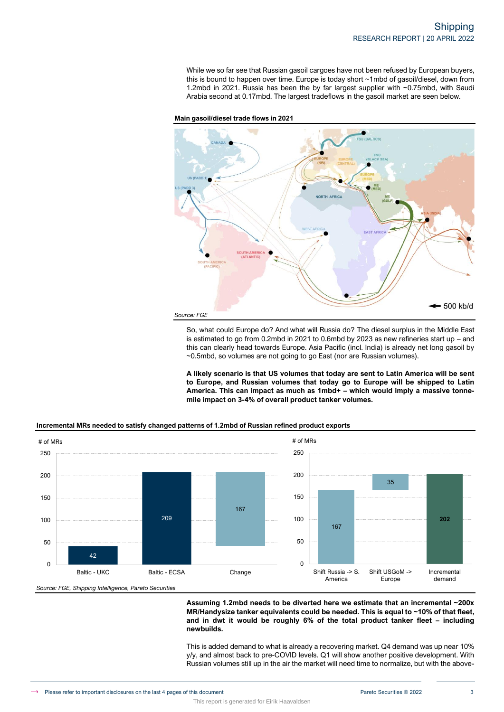While we so far see that Russian gasoil cargoes have not been refused by European buyers, this is bound to happen over time. Europe is today short ~1mbd of gasoil/diesel, down from 1.2mbd in 2021. Russia has been the by far largest supplier with ~0.75mbd, with Saudi Arabia second at 0.17mbd. The largest tradeflows in the gasoil market are seen below.



**Main gasoil/diesel trade flows in 2021**

So, what could Europe do? And what will Russia do? The diesel surplus in the Middle East is estimated to go from 0.2mbd in 2021 to 0.6mbd by 2023 as new refineries start up – and this can clearly head towards Europe. Asia Pacific (incl. India) is already net long gasoil by ~0.5mbd, so volumes are not going to go East (nor are Russian volumes).

**A likely scenario is that US volumes that today are sent to Latin America will be sent to Europe, and Russian volumes that today go to Europe will be shipped to Latin America. This can impact as much as 1mbd+ – which would imply a massive tonnemile impact on 3-4% of overall product tanker volumes.**



This report is generated for Eirik Haavaldsen

**Incremental MRs needed to satisfy changed patterns of 1.2mbd of Russian refined product exports**

**Assuming 1.2mbd needs to be diverted here we estimate that an incremental ~200x MR/Handysize tanker equivalents could be needed. This is equal to ~10% of that fleet, and in dwt it would be roughly 6% of the total product tanker fleet – including newbuilds.**

This is added demand to what is already a recovering market. Q4 demand was up near 10% y/y, and almost back to pre-COVID levels. Q1 will show another positive development. With Russian volumes still up in the air the market will need time to normalize, but with the above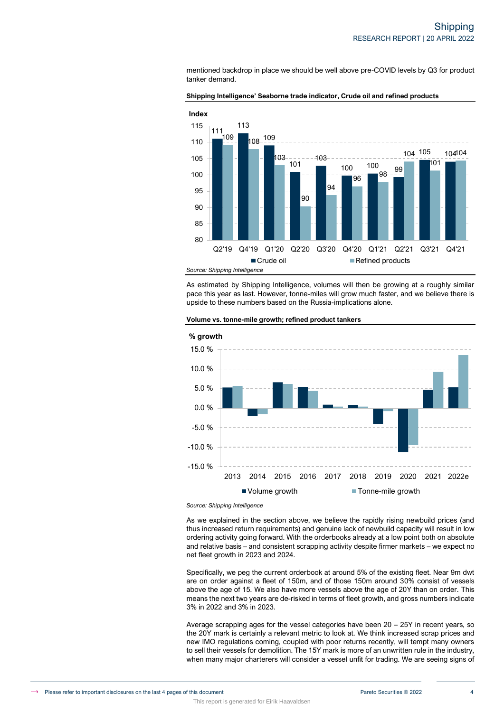mentioned backdrop in place we should be well above pre-COVID levels by Q3 for product tanker demand.



**Shipping Intelligence' Seaborne trade indicator, Crude oil and refined products**

As estimated by Shipping Intelligence, volumes will then be growing at a roughly similar pace this year as last. However, tonne-miles will grow much faster, and we believe there is upside to these numbers based on the Russia-implications alone.





As we explained in the section above, we believe the rapidly rising newbuild prices (and thus increased return requirements) and genuine lack of newbuild capacity will result in low ordering activity going forward. With the orderbooks already at a low point both on absolute and relative basis – and consistent scrapping activity despite firmer markets – we expect no net fleet growth in 2023 and 2024.

Specifically, we peg the current orderbook at around 5% of the existing fleet. Near 9m dwt are on order against a fleet of 150m, and of those 150m around 30% consist of vessels above the age of 15. We also have more vessels above the age of 20Y than on order. This means the next two years are de-risked in terms of fleet growth, and gross numbers indicate 3% in 2022 and 3% in 2023.

Average scrapping ages for the vessel categories have been 20 – 25Y in recent years, so the 20Y mark is certainly a relevant metric to look at. We think increased scrap prices and new IMO regulations coming, coupled with poor returns recently, will tempt many owners to sell their vessels for demolition. The 15Y mark is more of an unwritten rule in the industry,

This report is generated for Eirik Haavaldsen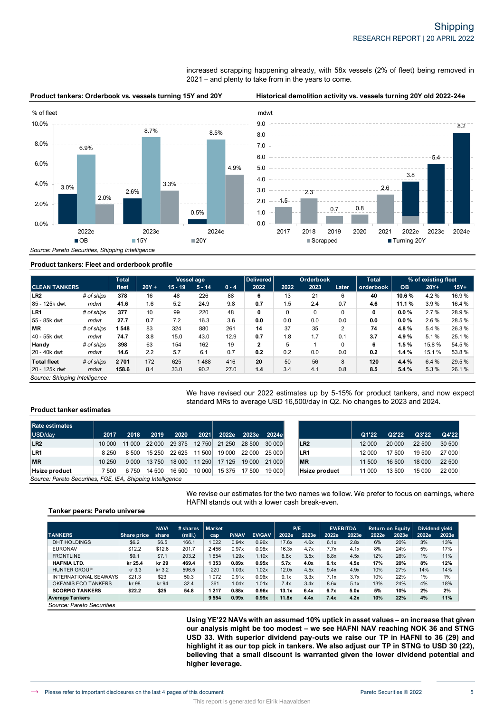increased scrapping happening already, with 58x vessels (2% of fleet) being removed in 2021 – and plenty to take from in the years to come.



## **Product tankers: Fleet and orderbook profile**

|                       | <b>Total</b><br>Vessel age |       |         | Delivered |          | Orderbook |              | <b>Total</b> | % of existing fleet |       |           |           |       |        |
|-----------------------|----------------------------|-------|---------|-----------|----------|-----------|--------------|--------------|---------------------|-------|-----------|-----------|-------|--------|
| <b>ICLEAN TANKERS</b> |                            | fleet | $20Y +$ | 15 - 19   | $5 - 14$ | $0 - 4$   | 2022         | 2022         | 2023                | Later | orderbook | <b>OB</b> | 20Y+  | $15Y+$ |
| LR <sub>2</sub>       | # of ships                 | 378   | 16      | 48        | 226      | 88        | 6            | 13           | 21                  | 6     | 40        | 10.6 %    | 4.2%  | 16.9%  |
| 85 - 125k dwt         | mdwt                       | 41.6  | 1.6     | 5.2       | 24.9     | 9.8       | 0.7          | 1.5          | 2.4                 | 0.7   | 4.6       | 11.1 %    | 3.9%  | 16.4 % |
| LR1                   | # of ships                 | 377   | 10      | 99        | 220      | 48        | 0            | $\Omega$     | $\Omega$            | 0     | 0         | $0.0\%$   | 2.7%  | 28.9%  |
| 55 - 85k dwt          | mdwt                       | 27.7  | 0.7     | 7.2       | 16.3     | 3.6       | 0.0          | 0.0          | 0.0                 | 0.0   | 0.0       | 0.0%      | 2.6%  | 28.5%  |
| <b>MR</b>             | # of ships                 | 1548  | 83      | 324       | 880      | 261       | 14           | 37           | 35                  | 2     | 74        | 4.8%      | 5.4%  | 26.3%  |
| 40 - 55k dwt          | mdwt                       | 74.7  | 3.8     | 15.0      | 43.0     | 12.9      | 0.7          | 1.8          | 1.7                 | 0.1   | 3.7       | 4.9%      | 5.1%  | 25.1%  |
| Handy                 | # of ships                 | 398   | 63      | 154       | 162      | 19        | $\mathbf{2}$ | 5            |                     | 0     | 6         | 1.5%      | 15.8% | 54.5%  |
| 20 - 40k dwt          | mdwt                       | 14.6  | 2.2     | 5.7       | 6.1      | 0.7       | 0.2          | 0.2          | 0.0                 | 0.0   | 0.2       | 1.4%      | 15.1% | 53.8%  |
| <b>Total fleet</b>    | # of ships                 | 2701  | 172     | 625       | 1488     | 416       | 20           | 50           | 56                  | 8     | 120       | 4.4 %     | 6.4%  | 29.5%  |
| 20 - 125k dwt         | mdwt                       | 158.6 | 8.4     | 33.0      | 90.2     | 27.0      | 1.4          | 3.4          | 4.1                 | 0.8   | 8.5       | 5.4%      | 5.3%  | 26.1%  |

We have revised our 2022 estimates up by 5-15% for product tankers, and now expect standard MRs to average USD 16,500/day in Q2. No changes to 2023 and 2024.

#### **Product tanker estimates**

| <b>Rate estimates</b>                                      |         |         |        |        |        |        |               |        |                      |        |        |        |
|------------------------------------------------------------|---------|---------|--------|--------|--------|--------|---------------|--------|----------------------|--------|--------|--------|
| USD/day                                                    | 2017    | 2018    | 2019   | 2020   | 2021   | 2022e  | 2023e         | 2024el |                      | Q1'22  | Q2'22  | Q3'22  |
| LR <sub>2</sub>                                            | 10 000  | 11 000  | 22 000 | 29 375 | 12 750 | 21 250 | 28 500        | 30 000 | LR <sub>2</sub>      | 12 000 | 20 000 | 22 500 |
| LR1                                                        | 8 2 5 0 | 8 500   | 15 250 | 22 625 | 11 500 | 19 000 | 22 000        | 25 000 | LR1                  | 12 000 | 17 500 | 19 500 |
| <b>MR</b>                                                  | 10 250  | 9 0 0 0 | 13 750 | 18 000 | 11 250 | 17 125 | 19 000        | 21 000 | <b>MR</b>            | 11 500 | 16 500 | 18 000 |
| <b>Hsize product</b>                                       | 7 500   | 6 7 5 0 | 14 500 | 16 500 | 10 000 |        | 15 375 17 500 | 19 000 | <b>Hsize product</b> | 11 000 | 13 500 | 15 000 |
| Source: Pareto Securities, FGE, IEA, Shipping Intelligence |         |         |        |        |        |        |               |        |                      |        |        |        |

We revise our estimates for the two names we follow. We prefer to focus on earnings, where HAFNI stands out with a lower cash break-even.

#### **Tanker peers: Pareto universe**

|                              |             | <b>NAV/</b> | # shares | <b>Market</b> |              |               | P/E   |       | <b>EV/EBITDA</b> |       |       | <b>Return on Equity</b> |       | Dividend yield |
|------------------------------|-------------|-------------|----------|---------------|--------------|---------------|-------|-------|------------------|-------|-------|-------------------------|-------|----------------|
| <b>TANKERS</b>               | Share price | share       | (mill.)  | cap           | <b>P/NAV</b> | <b>EV/GAV</b> | 2022e | 2023e | 2022e            | 2023e | 2022e | 2023e                   | 2022e | 2023e          |
| DHT HOLDINGS                 | \$6.2       | \$6.5       | 166.1    | 1022          | 0.94x        | 0.96x         | 17.6x | 4.6x  | 6.1x             | 2.8x  | 6%    | 20%                     | 3%    | 13%            |
| <b>EURONAV</b>               | \$12.2      | \$12.6      | 201.7    | 2456          | 0.97x        | 0.98x         | 16.3x | 4.7x  | 7.7x             | 4.1x  | 8%    | 24%                     | 5%    | 17%            |
| <b>FRONTLINE</b>             | \$9.1       | \$7.1       | 203.2    | 1854          | 1.29x        | 1.10x         | 8.6x  | 3.5x  | 8.8x             | 4.5x  | 12%   | 28%                     | 1%    | 11%            |
| <b>HAFNIA LTD.</b>           | kr 25.4     | kr 29       | 469.4    | 1353          | 0.89x        | 0.95x         | 5.7x  | 4.0x  | 6.1x             | 4.5x  | 17%   | 20%                     | 8%    | 12%            |
| <b>HUNTER GROUP</b>          | $kr$ 3.3    | kr 3.2      | 596.5    | 220           | 1.03x        | 1.02x         | 12.0x | 4.5x  | 9.4x             | 4.9x  | 10%   | 27%                     | 14%   | 14%            |
| <b>INTERNATIONAL SEAWAYS</b> | \$21.3      | \$23        | 50.3     | 1072          | 0.91x        | 0.96x         | 9.1x  | 3.3x  | 7.1x             | 3.7x  | 10%   | 22%                     | 1%    | 1%             |
| OKEANIS ECO TANKERS          | kr 98       | kr 94       | 32.4     | 361           | 1.04x        | 1.01x         | 7.4x  | 3.4x  | 8.6x             | 5.1x  | 13%   | 24%                     | 4%    | 18%            |
| <b>SCORPIO TANKERS</b>       | \$22.2      | \$25        | 54.8     | 1217          | 0.88x        | 0.96x         | 13.1x | 6.4x  | 6.7x             | 5.0x  | 5%    | 10%                     | 2%    | 2%             |
| <b>Average Tankers</b>       |             |             |          | 9554          | 0.99x        | 0.99x         | 11.8x | 4.4x  | 7.4x             | 4.2x  | 10%   | 22%                     | 4%    | 11%            |

This report is generated for Eirik Haavaldsen

**Using YE'22 NAVs with an assumed 10% uptick in asset values – an increase that given our analysis might be too modest – we see HAFNI NAV reaching NOK 36 and STNG USD 33. With superior dividend pay-outs we raise our TP in HAFNI to 36 (29) and highlight it as our top pick in tankers. We also adjust our TP in STNG to USD 30 (22), believing that a small discount is warranted given the lower dividend potential and higher leverage.**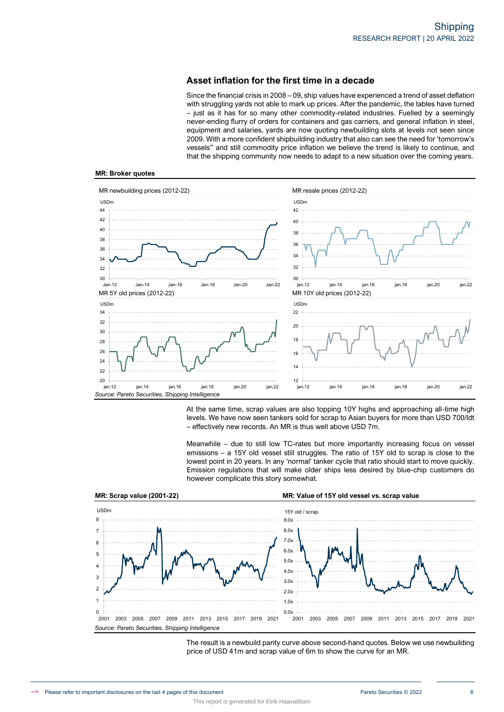# **Asset inflation for the first time in a decade**

Since the financial crisis in 2008 – 09, ship values have experienced a trend of asset deflation with struggling yards not able to mark up prices. After the pandemic, the tables have turned – just as it has for so many other commodity-related industries. Fuelled by a seemingly never-ending flurry of orders for containers and gas carriers, and general inflation in steel, equipment and salaries, yards are now quoting newbuilding slots at levels not seen since 2009. With a more confident shipbuilding industry that also can see the need for 'tomorrow's vessels" and still commodity price inflation we believe the trend is likely to continue, and that the shipping community now needs to adapt to a new situation over the coming years.



### **MR: Broker quotes**

At the same time, scrap values are also topping 10Y highs and approaching all-time high levels. We have now seen tankers sold for scrap to Asian buyers for more than USD 700/ldt – effectively new records. An MR is thus well above USD 7m.

Meanwhile – due to still low TC-rates but more importantly increasing focus on vessel emissions – a 15Y old vessel still struggles. The ratio of 15Y old to scrap is close to the lowest point in 20 years. In any 'normal' tanker cycle that ratio should start to move quickly. Emission regulations that will make older ships less desired by blue-chip customers do however complicate this story somewhat.



The result is a newbuild parity curve above second-hand quotes. Below we use newbuilding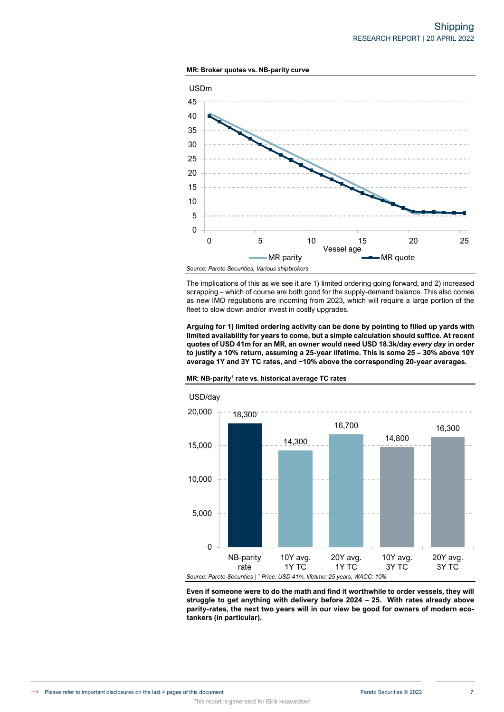



The implications of this as we see it are 1) limited ordering going forward, and 2) increased scrapping – which of course are both good for the supply-demand balance. This also comes as new IMO regulations are incoming from 2023, which will require a large portion of the fleet to slow down and/or invest in costly upgrades.

**Arguing for 1) limited ordering activity can be done by pointing to filled up yards with limited availability for years to come, but a simple calculation should suffice. At recent quotes of USD 41m for an MR, an owner would need USD 18.3k/day** *every day* **in order to justify a 10% return, assuming a 25-year lifetime. This is some 25 – 30% above 10Y average 1Y and 3Y TC rates, and ~10% above the corresponding 20-year averages.** 



#### **MR: NB-parity<sup>1</sup> rate vs. historical average TC rates**

This report is generated for Eirik Haavaldsen

**Even if someone were to do the math and find it worthwhile to order vessels, they will struggle to get anything with delivery before 2024 – 25. With rates already above parity-rates, the next two years will in our view be good for owners of modern ecotankers (in particular).**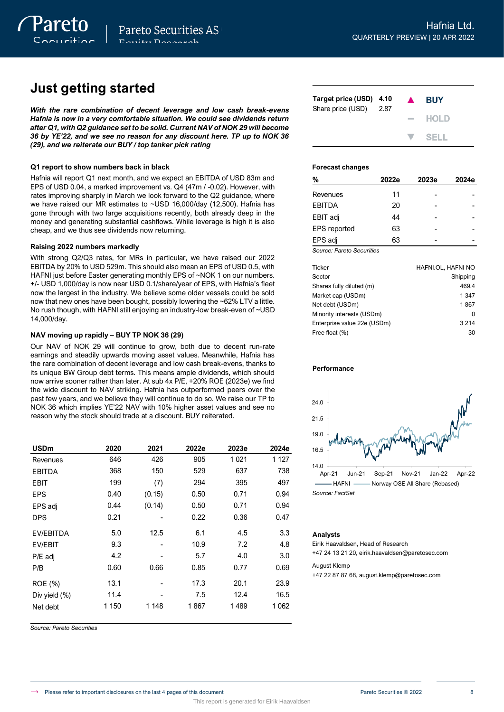Pareto

*With the rare combination of decent leverage and low cash break-evens Hafnia is now in a very comfortable situation. We could see dividends return after Q1, with Q2 guidance set to be solid. Current NAV of NOK 29 will become 36 by YE'22, and we see no reason for any discount here. TP up to NOK 36 (29), and we reiterate our BUY / top tanker pick rating*

### **Q1 report to show numbers back in black**

Hafnia will report Q1 next month, and we expect an EBITDA of USD 83m and EPS of USD 0.04, a marked improvement vs. Q4 (47m / -0.02). However, with rates improving sharply in March we look forward to the Q2 guidance, where we have raised our MR estimates to ~USD 16,000/day (12,500). Hafnia has gone through with two large acquisitions recently, both already deep in the money and generating substantial cashflows. While leverage is high it is also cheap, and we thus see dividends now returning.

## **Raising 2022 numbers markedly**

With strong Q2/Q3 rates, for MRs in particular, we have raised our 2022 EBITDA by 20% to USD 529m. This should also mean an EPS of USD 0.5, with HAFNI just before Easter generating monthly EPS of ~NOK 1 on our numbers. +/- USD 1,000/day is now near USD 0.1/share/year of EPS, with Hafnia's fleet now the largest in the industry. We believe some older vessels could be sold now that new ones have been bought, possibly lowering the ~62% LTV a little. No rush though, with HAFNI still enjoying an industry-low break-even of ~USD 14,000/day.

### **NAV moving up rapidly – BUY TP NOK 36 (29)**

Our NAV of NOK 29 will continue to grow, both due to decent run-rate earnings and steadily upwards moving asset values. Meanwhile, Hafnia has the rare combination of decent leverage and low cash break-evens, thanks to its unique BW Group debt terms. This means ample dividends, which should now arrive sooner rather than later. At sub 4x P/E, +20% ROE (2023e) we find the wide discount to NAV striking. Hafnia has outperformed peers over the past few years, and we believe they will continue to do so. We raise our TP to NOK 36 which implies YE'22 NAV with 10% higher asset values and see no reason why the stock should trade at a discount. BUY reiterated.

| <b>USDm</b>   | 2020  | 2021   | 2022e | 2023e   | 2024e   |
|---------------|-------|--------|-------|---------|---------|
| Revenues      | 646   | 426    | 905   | 1 0 2 1 | 1 1 2 7 |
| <b>EBITDA</b> | 368   | 150    | 529   | 637     | 738     |
| <b>EBIT</b>   | 199   | (7)    | 294   | 395     | 497     |
| <b>EPS</b>    | 0.40  | (0.15) | 0.50  | 0.71    | 0.94    |
| EPS adj       | 0.44  | (0.14) | 0.50  | 0.71    | 0.94    |
| <b>DPS</b>    | 0.21  |        | 0.22  | 0.36    | 0.47    |
| EV/EBITDA     | 5.0   | 12.5   | 6.1   | 4.5     | 3.3     |
| EV/EBIT       | 9.3   |        | 10.9  | 7.2     | 4.8     |
| P/E adj       | 4.2   |        | 5.7   | 4.0     | 3.0     |
| P/B           | 0.60  | 0.66   | 0.85  | 0.77    | 0.69    |
| ROE (%)       | 13.1  |        | 17.3  | 20.1    | 23.9    |
| Div yield (%) | 11.4  |        | 7.5   | 12.4    | 16.5    |
| Net debt      | 1 150 | 1 148  | 1867  | 1489    | 1 0 6 2 |

*Source: Pareto Securities*

| Target price (USD) 4.10<br>Share price (USD) | 2.87 | $\blacktriangle$ | <b>BUY</b> |
|----------------------------------------------|------|------------------|------------|
|                                              |      |                  | $-$ HOLD   |
|                                              |      |                  | V SELL     |

## **Forecast changes**

| %                   | 2022e | 2023e | 2024e |
|---------------------|-------|-------|-------|
| Revenues            | 11    |       |       |
| <b>EBITDA</b>       | 20    |       |       |
| EBIT adj            | 44    |       |       |
| <b>EPS</b> reported | 63    |       |       |
| EPS adj             | 63    |       |       |
|                     |       |       |       |

*Source: Pareto Securities*

| Ticker                      | HAFNI.OL, HAFNI NO |
|-----------------------------|--------------------|
| Sector                      | Shipping           |
| Shares fully diluted (m)    | 469.4              |
| Market cap (USDm)           | 1 3 4 7            |
| Net debt (USDm)             | 1867               |
| Minority interests (USDm)   | O                  |
| Enterprise value 22e (USDm) | 3 2 1 4            |
| Free float (%)              | 30                 |

### **Performance**



### **Analysts**

Eirik Haavaldsen, Head of Research

+47 24 13 21 20, eirik.haavaldsen@paretosec.com

August Klemp +47 22 87 87 68, august.klemp@paretosec.com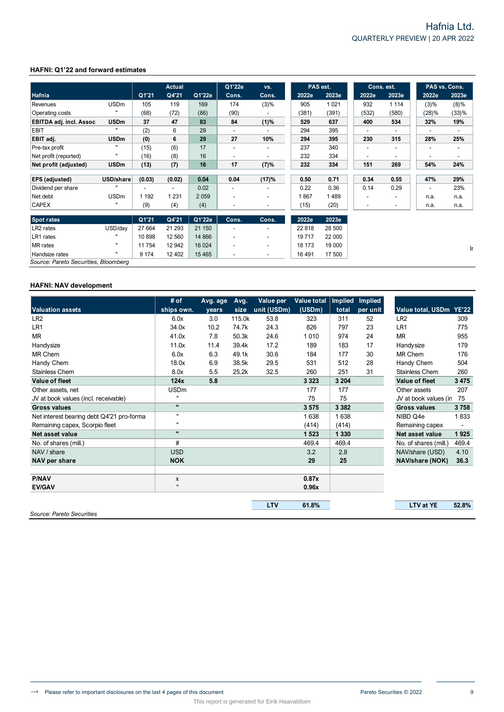# **HAFNI: Q1'22 and forward estimates**

|                                      |                |         | <b>Actual</b>  |         | Q1'22e                   | vs.                      | PAS est. |         |                          | Cons. est.               |       | PAS vs. Cons. |
|--------------------------------------|----------------|---------|----------------|---------|--------------------------|--------------------------|----------|---------|--------------------------|--------------------------|-------|---------------|
| Hafnia                               |                | Q1'21   | Q4'21          | Q1'22e  | Cons.                    | Cons.                    | 2022e    | 2023e   | 2022e                    | 2023e                    | 2022e | 2023e         |
| Revenues                             | <b>USDm</b>    | 105     | 119            | 169     | 174                      | (3)%                     | 905      | 1 0 2 1 | 932                      | 1 1 1 4                  | (3)%  | $(8)\%$       |
| Operating costs                      |                | (68)    | (72)           | (86)    | (90)                     |                          | (381)    | (391)   | (532)                    | (580)                    | (28)% | (33)%         |
| <b>EBITDA adj. incl. Assoc</b>       | <b>USDm</b>    | 37      | 47             | 83      | 84                       | (1)%                     | 529      | 637     | 400                      | 534                      | 32%   | 19%           |
| <b>EBIT</b>                          |                | (2)     | 6              | 29      | $\blacksquare$           | $\blacksquare$           | 294      | 395     | ٠                        | ٠                        |       | ۰             |
| EBIT adj.                            | <b>USDm</b>    | (0)     | 6              | 29      | 27                       | 10%                      | 294      | 395     | 230                      | 315                      | 28%   | 25%           |
| Pre-tax profit                       |                | (15)    | (6)            | 17      | $\overline{\phantom{a}}$ | $\blacksquare$           | 237      | 340     | $\overline{\phantom{a}}$ | ٠                        |       | ٠             |
| Net profit (reported)                | Ħ              | (16)    | (8)            | 16      |                          |                          | 232      | 334     |                          | ٠                        |       |               |
| Net profit (adjusted)                | <b>USDm</b>    | (13)    | (7)            | 16      | 17                       | (7)%                     | 232      | 334     | 151                      | 269                      | 54%   | 24%           |
| <b>EPS</b> (adjusted)                | USD/share      | (0.03)  | (0.02)         | 0.04    | 0.04                     | (17)%                    | 0.50     | 0.71    | 0.34                     | 0.55                     | 47%   | 29%           |
| Dividend per share                   | $\blacksquare$ |         | $\blacksquare$ | 0.02    | $\overline{\phantom{a}}$ | $\overline{\phantom{a}}$ | 0.22     | 0.36    | 0.14                     | 0.29                     |       | 23%           |
| Net debt                             | <b>USDm</b>    | 1 1 9 2 | 1 2 3 1        | 2 0 5 9 |                          | ٠                        | 867      | 1489    | ٠                        | ٠                        | n.a.  | n.a.          |
| <b>CAPEX</b>                         |                | (9)     | (4)            | (4)     | $\overline{\phantom{a}}$ | ٠                        | (15)     | (20)    | $\overline{\phantom{a}}$ | $\overline{\phantom{a}}$ | n.a.  | n.a.          |
| <b>Spot rates</b>                    |                | Q1'21   | Q4'21          | Q1'22e  | Cons.                    | Cons.                    | 2022e    | 2023e   |                          |                          |       |               |
| LR2 rates                            | USD/day        | 27 664  | 21 293         | 21 150  | $\overline{\phantom{a}}$ | $\overline{\phantom{a}}$ | 22 818   | 28 500  |                          |                          |       |               |
| LR1 rates                            | Ħ              | 10898   | 12 560         | 14 8 66 |                          | ٠                        | 19717    | 22 000  |                          |                          |       |               |
| MR rates                             |                | 11754   | 12 942         | 16 0 24 |                          | $\overline{\phantom{a}}$ | 18 173   | 19 000  |                          |                          |       |               |
| Handsize rates                       |                | 9 1 7 4 | 12 402         | 15 4 65 | $\overline{\phantom{a}}$ | $\overline{\phantom{a}}$ | 16 4 91  | 17 500  |                          |                          |       |               |
| Source: Pareto Securities, Bloomberg |                |         |                |         |                          |                          |          |         |                          |                          |       |               |

# **HAFNI: NAV development**

|                                           | # of                 | Avg. age | Avg.   | Value per   | <b>Value total</b> | Implied | Implied  |                         |         |
|-------------------------------------------|----------------------|----------|--------|-------------|--------------------|---------|----------|-------------------------|---------|
| <b>Valuation assets</b>                   | ships own.           | vears    | size   | unit (USDm) | (USDm)             | total   | per unit | Value total, USDm YE'22 |         |
| LR <sub>2</sub>                           | 6.0x                 | 3.0      | 115.0k | 53.8        | 323                | 311     | 52       | LR <sub>2</sub>         | 309     |
| LR1                                       | 34.0x                | 10.2     | 74.7k  | 24.3        | 826                | 797     | 23       | LR1                     | 775     |
| <b>MR</b>                                 | 41.0x                | 7.8      | 50.3k  | 24.6        | 1010               | 974     | 24       | <b>MR</b>               | 955     |
| Handysize                                 | 11.0x                | 11.4     | 39.4k  | 17.2        | 189                | 183     | 17       | Handysize               | 179     |
| <b>MR Chem</b>                            | 6.0x                 | 6.3      | 49.1k  | 30.6        | 184                | 177     | 30       | MR Chem                 | 176     |
| Handy Chem                                | 18.0x                | 6.9      | 38.5k  | 29.5        | 531                | 512     | 28       | Handy Chem              | 504     |
| <b>Stainless Chem</b>                     | 8.0x                 | 5.5      | 25.2k  | 32.5        | 260                | 251     | 31       | Stainless Chem          | 260     |
| <b>Value of fleet</b>                     | 124x                 | 5.8      |        |             | 3 3 2 3            | 3 2 0 4 |          | <b>Value of fleet</b>   | 3 4 7 5 |
| Other assets, net                         | <b>USDm</b>          |          |        |             | 177                | 177     |          | Other assets            | 207     |
| JV at book values (incl. receivable)      | $\mathbf{u}$         |          |        |             | 75                 | 75      |          | JV at book values (in   | 75      |
| <b>Gross values</b>                       | $\mathbf{u}$         |          |        |             | 3575               | 3 3 8 2 |          | <b>Gross values</b>     | 3758    |
| Net interest bearing debt Q4'21 pro-forma | $\pmb{\mathfrak{m}}$ |          |        |             | 1638               | 1638    |          | NIBD Q4e                | 1833    |
| Remaining capex, Scorpio fleet            | $\mathbf{u}$         |          |        |             | (414)              | (414)   |          | Remaining capex         |         |
| Net asset value                           | $\mathbf{u}$         |          |        |             | 1523               | 1 3 3 0 |          | Net asset value         | 1925    |
| No. of shares (mill.)                     | #                    |          |        |             | 469.4              | 469.4   |          | No. of shares (mill.)   | 469.4   |
| NAV / share                               | <b>USD</b>           |          |        |             | 3.2                | 2.8     |          | NAV/share (USD)         | 4.10    |
| NAV per share                             | <b>NOK</b>           |          |        |             | 29                 | 25      |          | NAV/share (NOK)         | 36.3    |
| <b>P/NAV</b>                              | x                    |          |        |             | 0.87x              |         |          |                         |         |
| <b>EV/GAV</b>                             | $\mathbf{u}$         |          |        |             | 0.96x              |         |          |                         |         |
|                                           |                      |          |        | <b>LTV</b>  | 61.8%              |         |          | <b>LTV at YE</b>        | 52.8%   |
| Source: Pareto Securities                 |                      |          |        |             |                    |         |          |                         |         |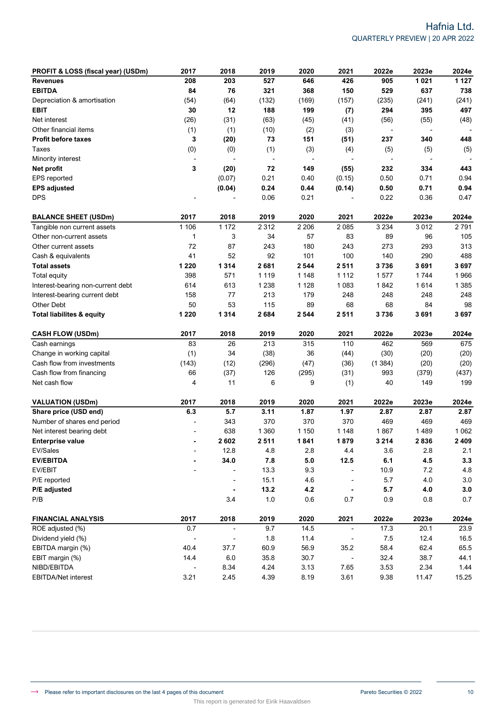| PROFIT & LOSS (fiscal year) (USDm)   | 2017                         | 2018                     | 2019           | 2020                     | 2021                     | 2022e   | 2023e                    | 2024e   |
|--------------------------------------|------------------------------|--------------------------|----------------|--------------------------|--------------------------|---------|--------------------------|---------|
| <b>Revenues</b>                      | 208                          | 203                      | 527            | 646                      | 426                      | 905     | 1021                     | 1 1 2 7 |
| <b>EBITDA</b>                        | 84                           | 76                       | 321            | 368                      | 150                      | 529     | 637                      | 738     |
| Depreciation & amortisation          | (54)                         | (64)                     | (132)          | (169)                    | (157)                    | (235)   | (241)                    | (241)   |
| <b>EBIT</b>                          | 30                           | 12                       | 188            | 199                      | (7)                      | 294     | 395                      | 497     |
| Net interest                         | (26)                         | (31)                     | (63)           | (45)                     | (41)                     | (56)    | (55)                     | (48)    |
| Other financial items                | (1)                          | (1)                      | (10)           | (2)                      | (3)                      |         |                          |         |
| <b>Profit before taxes</b>           | 3                            | (20)                     | 73             | 151                      | (51)                     | 237     | 340                      | 448     |
| Taxes                                | (0)                          | (0)                      | (1)            | (3)                      | (4)                      | (5)     | (5)                      | (5)     |
| Minority interest                    | $\overline{\phantom{m}}$     | ÷,                       | $\overline{a}$ | $\overline{\phantom{a}}$ | ÷,                       |         | $\overline{\phantom{a}}$ |         |
| Net profit                           | 3                            | (20)                     | 72             | 149                      | (55)                     | 232     | 334                      | 443     |
| EPS reported                         |                              | (0.07)                   | 0.21           | 0.40                     | (0.15)                   | 0.50    | 0.71                     | 0.94    |
| <b>EPS adjusted</b>                  |                              | (0.04)                   | 0.24           | 0.44                     | (0.14)                   | 0.50    | 0.71                     | 0.94    |
| <b>DPS</b>                           |                              |                          | 0.06           | 0.21                     |                          | 0.22    | 0.36                     | 0.47    |
|                                      |                              |                          |                |                          |                          |         |                          |         |
| <b>BALANCE SHEET (USDm)</b>          | 2017                         | 2018                     | 2019           | 2020                     | 2021                     | 2022e   | 2023e                    | 2024e   |
| Tangible non current assets          | 1 1 0 6                      | 1 172                    | 2 3 1 2        | $\sqrt{2}$ 206           | 2085                     | 3 2 3 4 | 3012                     | 2791    |
| Other non-current assets             | 1                            | 3                        | 34             | 57                       | 83                       | 89      | 96                       | 105     |
| Other current assets                 | 72                           | 87                       | 243            | 180                      | 243                      | 273     | 293                      | 313     |
| Cash & equivalents                   | 41                           | 52                       | 92             | 101                      | 100                      | 140     | 290                      | 488     |
| <b>Total assets</b>                  | 1 2 2 0                      | 1314                     | 2681           | 2 5 4 4                  | 2511                     | 3736    | 3691                     | 3697    |
| Total equity                         | 398                          | 571                      | 1 1 1 9        | 1 1 4 8                  | 1 1 1 2                  | 1577    | 1744                     | 1966    |
| Interest-bearing non-current debt    | 614                          | 613                      | 1 2 3 8        | 1 1 2 8                  | 1083                     | 1842    | 1614                     | 1 3 8 5 |
| Interest-bearing current debt        | 158                          | 77                       | 213            | 179                      | 248                      | 248     | 248                      | 248     |
| Other Debt                           | 50                           | 53                       | 115            | 89                       | 68                       | 68      | 84                       | 98      |
| <b>Total liabilites &amp; equity</b> | 1 2 2 0                      | 1314                     | 2684           | 2 5 4 4                  | 2511                     | 3736    | 3691                     | 3697    |
|                                      |                              |                          |                |                          |                          |         |                          |         |
| <b>CASH FLOW (USDm)</b>              | 2017                         | 2018                     | 2019           | 2020                     | 2021                     | 2022e   | 2023e                    | 2024e   |
| Cash earnings                        | 83                           | 26                       | 213            | 315                      | 110                      | 462     | 569                      | 675     |
| Change in working capital            | (1)                          | 34                       | (38)           | 36                       | (44)                     | (30)    | (20)                     | (20)    |
| Cash flow from investments           | (143)                        | (12)                     | (296)          | (47)                     | (36)                     | (1384)  | (20)                     | (20)    |
| Cash flow from financing             | 66                           | (37)                     | 126            | (295)                    | (31)                     | 993     | (379)                    | (437)   |
| Net cash flow                        | 4                            | 11                       | 6              | 9                        | (1)                      | 40      | 149                      | 199     |
| <b>VALUATION (USDm)</b>              | 2017                         | 2018                     | 2019           | 2020                     | 2021                     | 2022e   | 2023e                    | 2024e   |
| Share price (USD end)                | 6.3                          | 5.7                      | 3.11           | 1.87                     | 1.97                     | 2.87    | 2.87                     | 2.87    |
| Number of shares end period          |                              | 343                      | 370            | 370                      | 370                      | 469     | 469                      | 469     |
| Net interest bearing debt            |                              | 638                      | 1 3 6 0        | 1 1 5 0                  | 1 1 4 8                  | 1867    | 1489                     | 1 0 6 2 |
| <b>Enterprise value</b>              | $\blacksquare$               | 2602                     | 2511           | 1841                     | 1879                     | 3 2 1 4 | 2836                     | 2 4 0 9 |
| EV/Sales                             |                              | 12.8                     | 4.8            | 2.8                      | 4.4                      | 3.6     | 2.8                      | 2.1     |
| <b>EV/EBITDA</b>                     |                              | 34.0                     | $\bf 7.8$      | 5.0                      | 12.5                     | 6.1     | 4.5                      | 3.3     |
| EV/EBIT                              |                              | $\overline{\phantom{a}}$ | 13.3           | 9.3                      | $\overline{\phantom{a}}$ | 10.9    | 7.2                      | 4.8     |
| P/E reported                         |                              |                          | 15.1           | 4.6                      |                          | 5.7     | 4.0                      | 3.0     |
| P/E adjusted                         |                              |                          | 13.2           | 4.2                      |                          | 5.7     | 4.0                      | $3.0\,$ |
| P/B                                  |                              | 3.4                      | $1.0\,$        | 0.6                      | 0.7                      | 0.9     | 0.8                      | 0.7     |
|                                      |                              |                          |                |                          |                          |         |                          |         |
| <b>FINANCIAL ANALYSIS</b>            | 2017                         | 2018                     | 2019           | 2020                     | 2021                     | 2022e   | 2023e                    | 2024e   |
| ROE adjusted (%)                     | 0.7                          | $\overline{\phantom{a}}$ | 9.7            | 14.5                     | $\overline{\phantom{a}}$ | 17.3    | 20.1                     | 23.9    |
| Dividend yield (%)                   | $\qquad \qquad \blacksquare$ |                          | 1.8            | 11.4                     |                          | 7.5     | 12.4                     | 16.5    |
| EBITDA margin (%)                    | 40.4                         | 37.7                     | 60.9           | 56.9                     | 35.2                     | 58.4    | 62.4                     | 65.5    |
| EBIT margin (%)                      | 14.4                         | 6.0                      | 35.8           | 30.7                     |                          | 32.4    | 38.7                     | 44.1    |
| NIBD/EBITDA                          | $\overline{a}$               | 8.34                     | 4.24           | 3.13                     | 7.65                     | 3.53    | 2.34                     | 1.44    |
| EBITDA/Net interest                  | 3.21                         | 2.45                     | 4.39           | 8.19                     | 3.61                     | 9.38    | 11.47                    | 15.25   |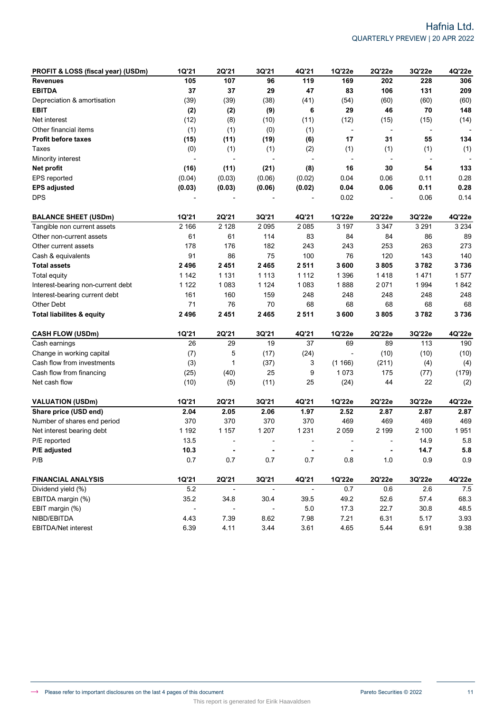| PROFIT & LOSS (fiscal year) (USDm)   | 1Q'21                    | 2Q'21                    | 3Q'21                    | 4Q'21                    | 1Q'22e                   | 2Q'22e  | 3Q'22e                   | 4Q'22e  |
|--------------------------------------|--------------------------|--------------------------|--------------------------|--------------------------|--------------------------|---------|--------------------------|---------|
| <b>Revenues</b>                      | 105                      | 107                      | 96                       | 119                      | 169                      | 202     | 228                      | 306     |
| <b>EBITDA</b>                        | 37                       | 37                       | 29                       | 47                       | 83                       | 106     | 131                      | 209     |
| Depreciation & amortisation          | (39)                     | (39)                     | (38)                     | (41)                     | (54)                     | (60)    | (60)                     | (60)    |
| <b>EBIT</b>                          | (2)                      | (2)                      | (9)                      | 6                        | 29                       | 46      | 70                       | 148     |
| Net interest                         | (12)                     | (8)                      | (10)                     | (11)                     | (12)                     | (15)    | (15)                     | (14)    |
| Other financial items                | (1)                      | (1)                      | (0)                      | (1)                      | $\overline{\phantom{a}}$ |         | $\overline{\phantom{a}}$ |         |
| <b>Profit before taxes</b>           | (15)                     | (11)                     | (19)                     | (6)                      | 17                       | 31      | 55                       | 134     |
| Taxes                                | (0)                      | (1)                      | (1)                      | (2)                      | (1)                      | (1)     | (1)                      | (1)     |
| Minority interest                    | ÷,                       |                          |                          | $\overline{\phantom{a}}$ | $\overline{\phantom{a}}$ | ÷,      | $\overline{\phantom{a}}$ |         |
| Net profit                           | (16)                     | (11)                     | (21)                     | (8)                      | 16                       | 30      | 54                       | 133     |
| <b>EPS</b> reported                  | (0.04)                   | (0.03)                   | (0.06)                   | (0.02)                   | 0.04                     | 0.06    | 0.11                     | 0.28    |
| <b>EPS adjusted</b>                  | (0.03)                   | (0.03)                   | (0.06)                   | (0.02)                   | 0.04                     | 0.06    | 0.11                     | 0.28    |
| <b>DPS</b>                           |                          |                          |                          |                          | 0.02                     |         | 0.06                     | 0.14    |
| <b>BALANCE SHEET (USDm)</b>          | 1Q'21                    | 2Q'21                    | 3Q'21                    | 4Q'21                    | 1Q'22e                   | 2Q'22e  | 3Q'22e                   | 4Q'22e  |
| Tangible non current assets          | 2 1 6 6                  | 2 1 2 8                  | 2 0 9 5                  | 2 0 8 5                  | 3 1 9 7                  | 3 3 4 7 | 3 2 9 1                  | 3 2 3 4 |
| Other non-current assets             | 61                       | 61                       | 114                      | 83                       | 84                       | 84      | 86                       | 89      |
| Other current assets                 | 178                      | 176                      | 182                      | 243                      | 243                      | 253     | 263                      | 273     |
| Cash & equivalents                   | 91                       | 86                       | 75                       | 100                      | 76                       | 120     | 143                      | 140     |
| <b>Total assets</b>                  | 2496                     | 2451                     | 2 4 6 5                  | 2511                     | 3600                     | 3805    | 3782                     | 3736    |
| <b>Total equity</b>                  | 1 1 4 2                  | 1 1 3 1                  | 1 1 1 3                  | 1 1 1 2                  | 1 3 9 6                  | 1418    | 1471                     | 1577    |
| Interest-bearing non-current debt    | 1 1 2 2                  | 1 0 8 3                  | 1 1 2 4                  | 1 0 8 3                  | 1888                     | 2071    | 1 9 9 4                  | 1842    |
| Interest-bearing current debt        | 161                      | 160                      | 159                      | 248                      | 248                      | 248     | 248                      | 248     |
| Other Debt                           | 71                       | 76                       | $70\,$                   | 68                       | 68                       | 68      | 68                       | 68      |
| <b>Total liabilites &amp; equity</b> | 2496                     | 2451                     | 2 4 6 5                  | 2511                     | 3600                     | 3805    | 3782                     | 3736    |
| <b>CASH FLOW (USDm)</b>              | 1Q'21                    | 2Q'21                    | 3Q'21                    | 4Q'21                    | 1Q'22e                   | 2Q'22e  | 3Q'22e                   | 4Q'22e  |
| Cash earnings                        | 26                       | 29                       | 19                       | 37                       | 69                       | 89      | 113                      | 190     |
| Change in working capital            | (7)                      | 5                        | (17)                     | (24)                     |                          | (10)    | (10)                     | (10)    |
| Cash flow from investments           | (3)                      | $\mathbf{1}$             | (37)                     | 3                        | (1166)                   | (211)   | (4)                      | (4)     |
| Cash flow from financing             | (25)                     | (40)                     | 25                       | 9                        | 1073                     | 175     | (77)                     | (179)   |
| Net cash flow                        | (10)                     | (5)                      | (11)                     | 25                       | (24)                     | 44      | 22                       | (2)     |
| <b>VALUATION (USDm)</b>              | 1Q'21                    | 2Q'21                    | 3Q'21                    | 4Q'21                    | 1Q'22e                   | 2Q'22e  | 3Q'22e                   | 4Q'22e  |
| Share price (USD end)                | 2.04                     | 2.05                     | 2.06                     | 1.97                     | 2.52                     | 2.87    | 2.87                     | 2.87    |
| Number of shares end period          | 370                      | 370                      | 370                      | 370                      | 469                      | 469     | 469                      | 469     |
| Net interest bearing debt            | 1 1 9 2                  | 1 1 5 7                  | 1 2 0 7                  | 1 2 3 1                  | 2059                     | 2 1 9 9 | 2 100                    | 1951    |
| P/E reported                         | 13.5                     | $\blacksquare$           |                          | $\blacksquare$           |                          |         | 14.9                     | 5.8     |
| P/E adjusted                         | 10.3                     | $\blacksquare$           |                          | $\blacksquare$           | $\blacksquare$           |         | 14.7                     | 5.8     |
| P/B                                  | 0.7                      | 0.7                      | 0.7                      | 0.7                      | 0.8                      | 1.0     | 0.9                      | 0.9     |
| <b>FINANCIAL ANALYSIS</b>            | 1Q'21                    | 2Q'21                    | 3Q'21                    | 4Q'21                    | 1Q'22e                   | 2Q'22e  | 3Q'22e                   | 4Q'22e  |
| Dividend yield (%)                   | 5.2                      | $\overline{\phantom{a}}$ | $\overline{\phantom{a}}$ | $\blacksquare$           | 0.7                      | 0.6     | 2.6                      | 7.5     |
| EBITDA margin (%)                    | 35.2                     | 34.8                     | 30.4                     | 39.5                     | 49.2                     | 52.6    | 57.4                     | 68.3    |
| EBIT margin (%)                      | $\overline{\phantom{a}}$ |                          | $\overline{\phantom{a}}$ | 5.0                      | 17.3                     | 22.7    | 30.8                     | 48.5    |
| NIBD/EBITDA                          | 4.43                     | 7.39                     | 8.62                     | 7.98                     | 7.21                     | 6.31    | 5.17                     | 3.93    |
| EBITDA/Net interest                  | 6.39                     | 4.11                     | 3.44                     | 3.61                     | 4.65                     | 5.44    | 6.91                     | 9.38    |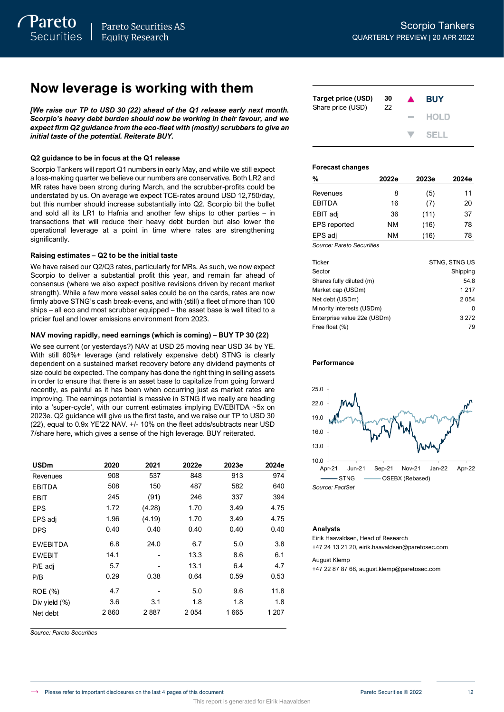# **Now leverage is working with them**

*[We raise our TP to USD 30 (22) ahead of the Q1 release early next month. Scorpio's heavy debt burden should now be working in their favour, and we expect firm Q2 guidance from the eco-fleet with (mostly) scrubbers to give an initial taste of the potential. Reiterate BUY.*

### **Q2 guidance to be in focus at the Q1 release**

Scorpio Tankers will report Q1 numbers in early May, and while we still expect a loss-making quarter we believe our numbers are conservative. Both LR2 and MR rates have been strong during March, and the scrubber-profits could be understated by us. On average we expect TCE-rates around USD 12,750/day, but this number should increase substantially into Q2. Scorpio bit the bullet and sold all its LR1 to Hafnia and another few ships to other parties – in transactions that will reduce their heavy debt burden but also lower the operational leverage at a point in time where rates are strengthening significantly.

#### **Raising estimates – Q2 to be the initial taste**

We have raised our Q2/Q3 rates, particularly for MRs. As such, we now expect Scorpio to deliver a substantial profit this year, and remain far ahead of consensus (where we also expect positive revisions driven by recent market strength). While a few more vessel sales could be on the cards, rates are now firmly above STNG's cash break-evens, and with (still) a fleet of more than 100 ships – all eco and most scrubber equipped – the asset base is well tilted to a pricier fuel and lower emissions environment from 2023.

#### **NAV moving rapidly, need earnings (which is coming) – BUY TP 30 (22)**

We see current (or yesterdays?) NAV at USD 25 moving near USD 34 by YE. With still 60%+ leverage (and relatively expensive debt) STNG is clearly dependent on a sustained market recovery before any dividend payments of size could be expected. The company has done the right thing in selling assets in order to ensure that there is an asset base to capitalize from going forward recently, as painful as it has been when occurring just as market rates are improving. The earnings potential is massive in STNG if we really are heading into a 'super-cycle', with our current estimates implying EV/EBITDA ~5x on 2023e. Q2 guidance will give us the first taste, and we raise our TP to USD 30 (22), equal to 0.9x YE'22 NAV. +/- 10% on the fleet adds/subtracts near USD 7/share here, which gives a sense of the high leverage. BUY reiterated.

| <b>USDm</b>      | 2020 | 2021   | 2022e | 2023e | 2024e |
|------------------|------|--------|-------|-------|-------|
| Revenues         | 908  | 537    | 848   | 913   | 974   |
| <b>EBITDA</b>    | 508  | 150    | 487   | 582   | 640   |
| EBIT             | 245  | (91)   | 246   | 337   | 394   |
| <b>EPS</b>       | 1.72 | (4.28) | 1.70  | 3.49  | 4.75  |
| EPS adj          | 1.96 | (4.19) | 1.70  | 3.49  | 4.75  |
| <b>DPS</b>       | 0.40 | 0.40   | 0.40  | 0.40  | 0.40  |
| EV/EBITDA        | 6.8  | 24.0   | 6.7   | 5.0   | 3.8   |
| EV/EBIT          | 14.1 | -      | 13.3  | 8.6   | 6.1   |
| P/E adj          | 5.7  |        | 13.1  | 6.4   | 4.7   |
| P/B              | 0.29 | 0.38   | 0.64  | 0.59  | 0.53  |
| ROE (%)          | 4.7  |        | 5.0   | 9.6   | 11.8  |
| Div yield $(\%)$ | 3.6  | 3.1    | 1.8   | 1.8   | 1.8   |
| Net debt         | 2860 | 2887   | 2054  | 1665  | 1 207 |

*Source: Pareto Securities*

| Target price (USD)<br>Share price (USD) | 30<br>22 | $\blacktriangle$  | <b>BUY</b> |
|-----------------------------------------|----------|-------------------|------------|
|                                         |          | <b>Contractor</b> | HOLD       |
|                                         |          |                   | V SELL     |

### **Forecast changes**

| %                           | 2022e | 2023e | 2024e |
|-----------------------------|-------|-------|-------|
| Revenues                    | 8     | (5)   | 11    |
| <b>EBITDA</b>               | 16    | (7)   | 20    |
| EBIT adj                    | 36    | (11)  | 37    |
| <b>EPS</b> reported         | NM    | (16)  | 78    |
| EPS adj                     | NM    | (16)  | 78    |
| $\sim$ $\sim$ $\sim$ $\sim$ |       |       |       |

*Source: Pareto Securities*

| Ticker                      | <b>STNG, STNG US</b> |
|-----------------------------|----------------------|
| Sector                      | Shipping             |
| Shares fully diluted (m)    | 54.8                 |
| Market cap (USDm)           | 1 2 1 7              |
| Net debt (USDm)             | 2054                 |
| Minority interests (USDm)   | O                    |
| Enterprise value 22e (USDm) | 3 2 7 2              |
| Free float (%)              | 79                   |

#### **Performance**



#### **Analysts**

Eirik Haavaldsen, Head of Research +47 24 13 21 20, eirik.haavaldsen@paretosec.com

#### August Klemp

+47 22 87 87 68, august.klemp@paretosec.com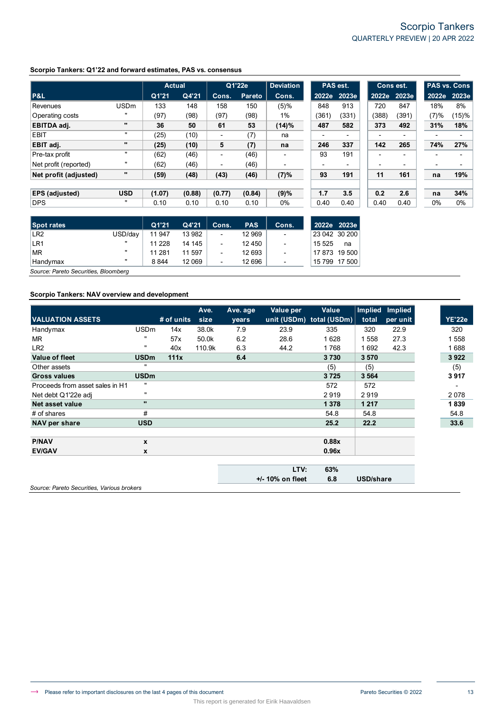# **Scorpio Tankers: Q1'22 and forward estimates, PAS vs. consensus**

|                       |                | <b>Actual</b> |        |                          | Q1'22e | <b>Deviation</b> |                          | PAS est.                 |       | Cons est. | <b>PAS vs. Cons</b>      |       |
|-----------------------|----------------|---------------|--------|--------------------------|--------|------------------|--------------------------|--------------------------|-------|-----------|--------------------------|-------|
| <b>P&amp;L</b>        |                | Q1'21         | Q4'21  | Cons.                    | Pareto | Cons.            | 2022e                    | 2023e                    | 2022e | 2023e     | 2022e                    | 2023e |
| Revenues              | USDm           | 133           | 148    | 158                      | 150    | (5)%             | 848                      | 913                      | 720   | 847       | 18%                      |       |
| Operating costs       | ×              | (97)          | (98)   | (97)                     | (98)   | 1%               | (361)                    | (331)                    | (388) | (391)     | (7)%                     | (15)% |
| <b>EBITDA</b> adj.    | $\mathbf{u}$   | 36            | 50     | 61                       | 53     | (14)%            | 487                      | 582                      | 373   | 492       | 31%                      | 18%   |
| EBIT                  | $\mathbf{u}$   | (25)          | (10)   | $\overline{\phantom{a}}$ | (7)    | na               | $\overline{\phantom{0}}$ | $\blacksquare$           |       |           |                          |       |
| EBIT adi.             | $\mathbf{u}$   | (25)          | (10)   | 5                        | (7)    | na               | 246                      | 337                      | 142   | 265       | 74%                      | 27%   |
| Pre-tax profit        |                | (62)          | (46)   | $\overline{\phantom{a}}$ | (46)   |                  | 93                       | 191                      |       |           |                          |       |
| Net profit (reported) | $\mathbf{u}$   | (62)          | (46)   | ۰                        | (46)   |                  | $\overline{\phantom{0}}$ | $\overline{\phantom{0}}$ |       |           | $\overline{\phantom{a}}$ |       |
| Net profit (adjusted) | $\blacksquare$ | (59)          | (48)   | (43)                     | (46)   | (7)%             | 93                       | 191                      | 11    | 161       | na                       | 19%   |
|                       |                |               |        |                          |        |                  |                          |                          |       |           |                          |       |
| <b>EPS</b> (adjusted) | <b>USD</b>     | (1.07)        | (0.88) | (0.77)                   | (0.84) | (9)%             | 1.7                      | 3.5                      | 0.2   | 2.6       | na                       | 34%   |
| <b>DPS</b>            |                | 0.10          | 0.10   | 0.10                     | 0.10   | $0\%$            | 0.40                     | 0.40                     | 0.40  | 0.40      | 0%                       |       |

| 13 982 | $\overline{\phantom{a}}$ | 12 969 | $\overline{\phantom{0}}$ |         | 23 042 30 200 |
|--------|--------------------------|--------|--------------------------|---------|---------------|
| 14 145 | ٠                        | 12 450 | -                        | 15 5 25 | na            |
| 11 597 |                          | 12 693 | -                        |         | 17 873 19 500 |
| 12 069 | ٠                        | 12 696 | $\overline{\phantom{0}}$ |         | 15 799 17 500 |
|        |                          |        |                          |         |               |

*Source: Pareto Securities, Bloomberg*

## **Scorpio Tankers: NAV overview and development**

|                                            |                  |            | Ave.   | Ave. age | Value per          | Value                    | Implied          | <b>Implied</b> |
|--------------------------------------------|------------------|------------|--------|----------|--------------------|--------------------------|------------------|----------------|
| <b>VALUATION ASSETS</b>                    |                  | # of units | size   | years    |                    | unit (USDm) total (USDm) | total            | per unit       |
| Handymax                                   | <b>USDm</b>      | 14x        | 38.0k  | 7.9      | 23.9               | 335                      | 320              | 22.9           |
| <b>MR</b>                                  |                  | 57x        | 50.0k  | 6.2      | 28.6               | 1628                     | 1558             | 27.3           |
| LR <sub>2</sub>                            |                  | 40x        | 110.9k | 6.3      | 44.2               | 1768                     | 1692             | 42.3           |
| Value of fleet                             | <b>USDm</b>      | 111x       |        | 6.4      |                    | 3730                     | 3570             |                |
| Other assets                               |                  |            |        |          |                    | (5)                      | (5)              |                |
| <b>Gross values</b>                        | <b>USDm</b>      |            |        |          |                    | 3725                     | 3 5 6 4          |                |
| Proceeds from asset sales in H1            |                  |            |        |          |                    | 572                      | 572              |                |
| Net debt Q1'22e adj                        | $\mathbf{u}$     |            |        |          |                    | 2919                     | 2919             |                |
| Net asset value                            | $\mathbf{u}$     |            |        |          |                    | 1 3 7 8                  | 1 2 1 7          |                |
| # of shares                                | #                |            |        |          |                    | 54.8                     | 54.8             |                |
| NAV per share                              | <b>USD</b>       |            |        |          |                    | 25.2                     | 22.2             |                |
| <b>P/NAV</b>                               | $\boldsymbol{x}$ |            |        |          |                    | 0.88x                    |                  |                |
| <b>EV/GAV</b>                              | X                |            |        |          |                    | 0.96x                    |                  |                |
|                                            |                  |            |        |          | LTV:               | 63%                      |                  |                |
|                                            |                  |            |        |          | $+/-10\%$ on fleet | 6.8                      | <b>USD/share</b> |                |
| Source: Pareto Securities, Various brokers |                  |            |        |          |                    |                          |                  |                |

This report is generated for Eirik Haavaldsen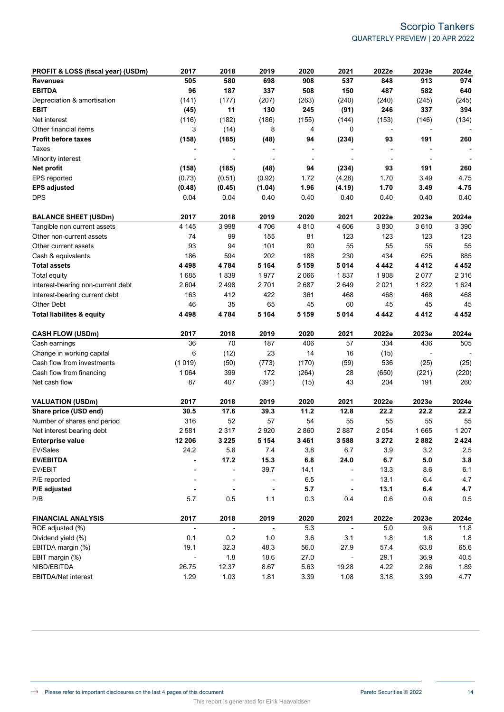| PROFIT & LOSS (fiscal year) (USDm)   | 2017                     | 2018                         | 2019           | 2020                     | 2021                     | 2022e          | 2023e | 2024e   |
|--------------------------------------|--------------------------|------------------------------|----------------|--------------------------|--------------------------|----------------|-------|---------|
| <b>Revenues</b>                      | 505                      | 580                          | 698            | 908                      | 537                      | 848            | 913   | 974     |
| <b>EBITDA</b>                        | 96                       | 187                          | 337            | 508                      | 150                      | 487            | 582   | 640     |
| Depreciation & amortisation          | (141)                    | (177)                        | (207)          | (263)                    | (240)                    | (240)          | (245) | (245)   |
| <b>EBIT</b>                          | (45)                     | 11                           | 130            | 245                      | (91)                     | 246            | 337   | 394     |
| Net interest                         | (116)                    | (182)                        | (186)          | (155)                    | (144)                    | (153)          | (146) | (134)   |
| Other financial items                | 3                        | (14)                         | 8              | 4                        | 0                        |                |       |         |
| <b>Profit before taxes</b>           | (158)                    | (185)                        | (48)           | 94                       | (234)                    | 93             | 191   | 260     |
| Taxes                                |                          |                              |                |                          |                          |                |       |         |
| Minority interest                    |                          |                              |                | $\overline{\phantom{a}}$ |                          | $\blacksquare$ |       |         |
| Net profit                           | (158)                    | (185)                        | (48)           | 94                       | (234)                    | 93             | 191   | 260     |
| EPS reported                         | (0.73)                   | (0.51)                       | (0.92)         | 1.72                     | (4.28)                   | 1.70           | 3.49  | 4.75    |
| <b>EPS adjusted</b>                  | (0.48)                   | (0.45)                       | (1.04)         | 1.96                     | (4.19)                   | 1.70           | 3.49  | 4.75    |
| <b>DPS</b>                           | 0.04                     | 0.04                         | 0.40           | 0.40                     | 0.40                     | 0.40           | 0.40  | 0.40    |
| <b>BALANCE SHEET (USDm)</b>          | 2017                     | 2018                         | 2019           | 2020                     | 2021                     | 2022e          | 2023e | 2024e   |
| Tangible non current assets          | 4 1 4 5                  | 3 9 9 8                      | 4706           | 4810                     | 4 60 6                   | 3830           | 3610  | 3 3 9 0 |
| Other non-current assets             | 74                       | 99                           | 155            | 81                       | 123                      | 123            | 123   | 123     |
| Other current assets                 | 93                       | 94                           | 101            | 80                       | 55                       | 55             | 55    | 55      |
| Cash & equivalents                   | 186                      | 594                          | 202            | 188                      | 230                      | 434            | 625   | 885     |
| <b>Total assets</b>                  | 4498                     | 4784                         | 5 1 6 4        | 5 1 5 9                  | 5014                     | 4 442          | 4412  | 4452    |
| Total equity                         | 1685                     | 1839                         | 1977           | 2 0 6 6                  | 1837                     | 1 908          | 2077  | 2 3 1 6 |
| Interest-bearing non-current debt    | 2 604                    | 2498                         | 2701           | 2687                     | 2649                     | 2 0 2 1        | 1822  | 1624    |
| Interest-bearing current debt        | 163                      | 412                          | 422            | 361                      | 468                      | 468            | 468   | 468     |
| Other Debt                           | 46                       | 35                           | 65             | 45                       | 60                       | 45             | 45    | 45      |
| <b>Total liabilites &amp; equity</b> | 4498                     | 4784                         | 5 1 6 4        | 5 1 5 9                  | 5014                     | 4 4 4 2        | 4 412 | 4452    |
| <b>CASH FLOW (USDm)</b>              | 2017                     | 2018                         | 2019           | 2020                     | 2021                     | 2022e          | 2023e | 2024e   |
| Cash earnings                        | 36                       | 70                           | 187            | 406                      | 57                       | 334            | 436   | 505     |
| Change in working capital            | 6                        | (12)                         | 23             | 14                       | 16                       | (15)           |       |         |
| Cash flow from investments           | (1019)                   | (50)                         | (773)          | (170)                    | (59)                     | 536            | (25)  | (25)    |
| Cash flow from financing             | 1 0 6 4                  | 399                          | 172            | (264)                    | 28                       | (650)          | (221) | (220)   |
| Net cash flow                        | 87                       | 407                          | (391)          | (15)                     | 43                       | 204            | 191   | 260     |
| <b>VALUATION (USDm)</b>              | 2017                     | 2018                         | 2019           | 2020                     | 2021                     | 2022e          | 2023e | 2024e   |
| Share price (USD end)                | 30.5                     | 17.6                         | 39.3           | 11.2                     | 12.8                     | 22.2           | 22.2  | 22.2    |
| Number of shares end period          | 316                      | 52                           | 57             | 54                       | 55                       | 55             | 55    | 55      |
| Net interest bearing debt            | 2 5 8 1                  | 2 3 1 7                      | 2920           | 2860                     | 2887                     | 2 0 5 4        | 1665  | 1 2 0 7 |
| <b>Enterprise value</b>              | 12 206                   | 3 2 2 5                      | 5 1 5 4        | 3461                     | 3588                     | 3 2 7 2        | 2 882 | 2424    |
| EV/Sales                             | 24.2                     | 5.6                          | $7.4$          | 3.8                      | 6.7                      | 3.9            | 3.2   | $2.5\,$ |
| <b>EV/EBITDA</b>                     |                          | 17.2                         | 15.3           | 6.8                      | 24.0                     | 6.7            | 5.0   | 3.8     |
| EV/EBIT                              | $\overline{a}$           | $\qquad \qquad \blacksquare$ | 39.7           | 14.1                     | $\centerdot$             | 13.3           | 8.6   | 6.1     |
| P/E reported                         |                          |                              |                | 6.5                      |                          | 13.1           | 6.4   | 4.7     |
| P/E adjusted                         |                          | $\blacksquare$               |                | 5.7                      | $\blacksquare$           | 13.1           | 6.4   | 4.7     |
| P/B                                  | 5.7                      | 0.5                          | 1.1            | 0.3                      | 0.4                      | 0.6            | 0.6   | 0.5     |
| <b>FINANCIAL ANALYSIS</b>            | 2017                     | 2018                         | 2019           | 2020                     | 2021                     | 2022e          | 2023e | 2024e   |
| ROE adjusted (%)                     | $\overline{\phantom{a}}$ | $\overline{\phantom{a}}$     | $\blacksquare$ | 5.3                      | $\overline{\phantom{a}}$ | 5.0            | 9.6   | 11.8    |
| Dividend yield (%)                   | 0.1                      | 0.2                          | $1.0$          | 3.6                      | 3.1                      | 1.8            | 1.8   | 1.8     |
| EBITDA margin (%)                    | 19.1                     | 32.3                         | 48.3           | 56.0                     | 27.9                     | 57.4           | 63.8  | 65.6    |
| EBIT margin (%)                      |                          |                              |                |                          |                          | 29.1           |       | 40.5    |
|                                      | $\overline{\phantom{a}}$ | 1.8                          | 18.6           | 27.0                     | $\centerdot$             |                | 36.9  |         |
| NIBD/EBITDA                          | 26.75                    | 12.37                        | 8.67           | 5.63                     | 19.28                    | 4.22           | 2.86  | 1.89    |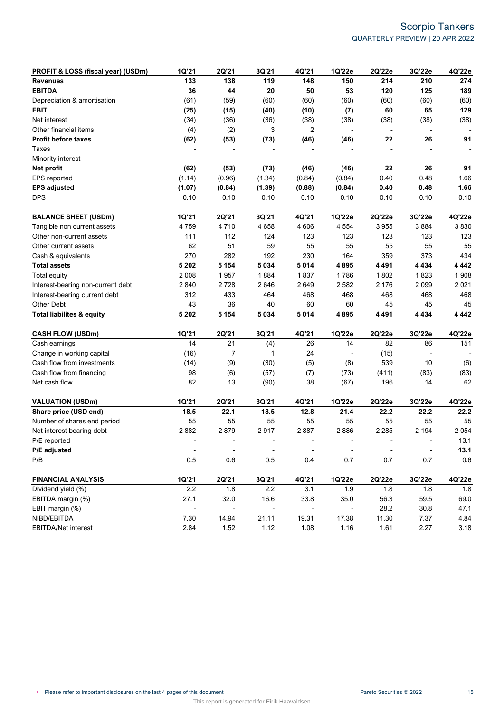| PROFIT & LOSS (fiscal year) (USDm)   | 1Q'21                    | 2Q'21                        | 3Q'21                    | 4Q'21                    | 1Q'22e         | 2Q'22e                   | 3Q'22e                   | 4Q'22e  |
|--------------------------------------|--------------------------|------------------------------|--------------------------|--------------------------|----------------|--------------------------|--------------------------|---------|
| <b>Revenues</b>                      | 133                      | 138                          | 119                      | 148                      | 150            | 214                      | 210                      | 274     |
| <b>EBITDA</b>                        | 36                       | 44                           | 20                       | 50                       | 53             | 120                      | 125                      | 189     |
| Depreciation & amortisation          | (61)                     | (59)                         | (60)                     | (60)                     | (60)           | (60)                     | (60)                     | (60)    |
| EBIT                                 | (25)                     | (15)                         | (40)                     | (10)                     | (7)            | 60                       | 65                       | 129     |
| Net interest                         | (34)                     | (36)                         | (36)                     | (38)                     | (38)           | (38)                     | (38)                     | (38)    |
| Other financial items                | (4)                      | (2)                          | 3                        | 2                        | $\overline{a}$ | $\overline{\phantom{a}}$ | $\overline{\phantom{a}}$ |         |
| <b>Profit before taxes</b>           | (62)                     | (53)                         | (73)                     | (46)                     | (46)           | 22                       | 26                       | 91      |
| <b>Taxes</b>                         |                          | $\overline{a}$               |                          |                          |                |                          |                          |         |
| Minority interest                    | ÷                        |                              |                          |                          |                | $\overline{\phantom{a}}$ |                          |         |
| Net profit                           | (62)                     | (53)                         | (73)                     | (46)                     | (46)           | 22                       | 26                       | 91      |
| EPS reported                         | (1.14)                   | (0.96)                       | (1.34)                   | (0.84)                   | (0.84)         | 0.40                     | 0.48                     | 1.66    |
| <b>EPS adjusted</b>                  | (1.07)                   | (0.84)                       | (1.39)                   | (0.88)                   | (0.84)         | 0.40                     | 0.48                     | 1.66    |
| DPS                                  | 0.10                     | 0.10                         | 0.10                     | 0.10                     | 0.10           | 0.10                     | 0.10                     | 0.10    |
| <b>BALANCE SHEET (USDm)</b>          | 1Q'21                    | 2Q'21                        | 3Q'21                    | 4Q'21                    | 1Q'22e         | 2Q'22e                   | 3Q'22e                   | 4Q'22e  |
| Tangible non current assets          | 4759                     | 4710                         | 4 6 5 8                  | 4 6 0 6                  | 4 5 5 4        | 3955                     | 3884                     | 3830    |
| Other non-current assets             | 111                      | 112                          | 124                      | 123                      | 123            | 123                      | 123                      | 123     |
| Other current assets                 | 62                       | 51                           | 59                       | 55                       | 55             | 55                       | 55                       | 55      |
| Cash & equivalents                   | 270                      | 282                          | 192                      | 230                      | 164            | 359                      | 373                      | 434     |
| <b>Total assets</b>                  | 5 2 0 2                  | 5 1 5 4                      | 5 0 3 4                  | 5014                     | 4895           | 4491                     | 4 4 3 4                  | 4 4 4 2 |
| <b>Total equity</b>                  | 2 0 0 8                  | 1957                         | 1884                     | 1837                     | 1786           | 1802                     | 1823                     | 1908    |
| Interest-bearing non-current debt    | 2840                     | 2728                         | 2646                     | 2649                     | 2582           | 2 1 7 6                  | 2 0 9 9                  | 2 0 21  |
| Interest-bearing current debt        | 312                      | 433                          | 464                      | 468                      | 468            | 468                      | 468                      | 468     |
| Other Debt                           | 43                       | 36                           | 40                       | 60                       | 60             | 45                       | 45                       | 45      |
| <b>Total liabilites &amp; equity</b> | 5 2 0 2                  | 5 1 5 4                      | 5 0 3 4                  | 5014                     | 4895           | 4491                     | 4 4 3 4                  | 4 4 4 2 |
| <b>CASH FLOW (USDm)</b>              | 1Q'21                    | 2Q'21                        | 3Q'21                    | 4Q'21                    | 1Q'22e         | 2Q'22e                   | 3Q'22e                   | 4Q'22e  |
| Cash earnings                        | 14                       | 21                           | (4)                      | 26                       | 14             | 82                       | 86                       | 151     |
| Change in working capital            | (16)                     | $\overline{7}$               | 1                        | 24                       |                | (15)                     |                          |         |
| Cash flow from investments           | (14)                     | (9)                          | (30)                     | (5)                      | (8)            | 539                      | 10                       | (6)     |
| Cash flow from financing             | 98                       | (6)                          | (57)                     | (7)                      | (73)           | (411)                    | (83)                     | (83)    |
| Net cash flow                        | 82                       | 13                           | (90)                     | 38                       | (67)           | 196                      | 14                       | 62      |
| <b>VALUATION (USDm)</b>              | 1Q'21                    | 2Q'21                        | 3Q'21                    | 4Q'21                    | 1Q'22e         | 2Q'22e                   | 3Q'22e                   | 4Q'22e  |
| Share price (USD end)                | 18.5                     | 22.1                         | 18.5                     | 12.8                     | 21.4           | 22.2                     | 22.2                     | 22.2    |
| Number of shares end period          | 55                       | 55                           | 55                       | 55                       | 55             | 55                       | 55                       | 55      |
| Net interest bearing debt            | 2882                     | 2879                         | 2917                     | 2887                     | 2886           | 2 2 8 5                  | 2 1 9 4                  | 2 0 5 4 |
| P/E reported                         | ٠                        |                              |                          |                          |                | $\blacksquare$           |                          | 13.1    |
| P/E adjusted                         | $\blacksquare$           | ۰                            | $\blacksquare$           |                          | ٠              | $\blacksquare$           | ٠                        | 13.1    |
| P/B                                  | 0.5                      | 0.6                          | 0.5                      | 0.4                      | 0.7            | 0.7                      | 0.7                      | 0.6     |
| <b>FINANCIAL ANALYSIS</b>            | 1Q'21                    | 2Q'21                        | 3Q'21                    | 4Q'21                    | 1Q'22e         | 2Q'22e                   | 3Q'22e                   | 4Q'22e  |
| Dividend yield (%)                   | 2.2                      | 1.8                          | 2.2                      | 3.1                      | 1.9            | 1.8                      | 1.8                      | 1.8     |
| EBITDA margin (%)                    | 27.1                     | 32.0                         | 16.6                     | 33.8                     | 35.0           | 56.3                     | 59.5                     | 69.0    |
| EBIT margin (%)                      | $\overline{\phantom{a}}$ | $\qquad \qquad \blacksquare$ | $\overline{\phantom{a}}$ | $\overline{\phantom{a}}$ |                | 28.2                     | 30.8                     | 47.1    |
| NIBD/EBITDA                          | 7.30                     | 14.94                        | 21.11                    | 19.31                    | 17.38          | 11.30                    | 7.37                     | 4.84    |
| EBITDA/Net interest                  | 2.84                     | 1.52                         | 1.12                     | 1.08                     | 1.16           | 1.61                     | 2.27                     | 3.18    |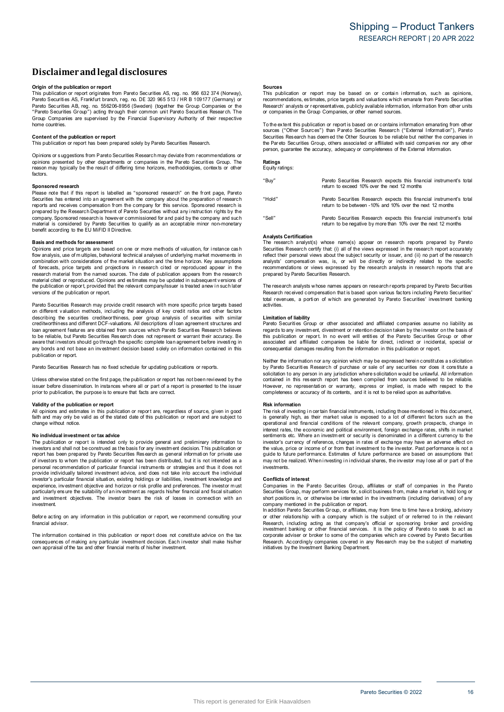# **Disclaimerandlegal disclosures Disclaimer and legal disclosures<br>Origin of the publication or report<br>This publication or report originates from Pareto Securities AS, reg. no. 956 632 374 (Norway),**

**DISCIAIMET AND IEGAI UISCIOSUTES**<br>Prigin of the publication or report<br>This publication or report originates from Pareto Securities AS, reg. no. 956 632 374 (Norway)<br>Pareto Securities AS, Frankfurt branch, reg. no. DE 320 Pareto Securities AB, reg. no. 556206-8956 (Sweden) (together the Group Companies or the **Origin of the publication or report**<br>This publication or report originates from Pareto Securities AS, reg. no. 956 632 374 (Norway) or<br>Pareto Securities AS, Frankfurt branch, reg. no. DE 320 965 513 / HR B 109177 (Germany home countries. Group Companies are supervised by the Financial Supervisory Authority of their respective home countries.<br> **Content of the publication or report** 

This publication or report has been prepared solely by Pareto Securities Research.

**Content of the publication or report**<br>This publication or report has been prepared solely by Pareto Securities Research.<br>Opinions or suggestions from Pareto Securities Research may deviate from recommendations or<br>poinions factors. Please note that if this report is labelled as "sponsored research" on the castellies Group. The reason may typically be the result of differing time horizons, methodologies, contexts or other factors.<br>Sponsored research<br>P

#### **Sponsored research**

factors.<br>Sponsored research<br>Please note that if this report is labelled as "sponsored research" on the front page, Pareto<br>Securities has entered into an agreement with the company about the preparation of research<br>prepared Please note that if this report is labelled as "sponsored research" on the front page, Pareto<br>Securities has entered into an agreement with the company about the preparation of research<br>reports and receives compensation fr material is considered by Pareto Securities to qualify as an acceptable minor non-monetary<br>benefit according to the EU MiFID II Directive.<br>**Basis and methods for assessment**<br>Opinions and price targets are based on one or m

#### **Basis and methods for assessment**

benefit according to the EU MiFID II Directive.<br> **Basis and methods for assessment**<br>
Opinions and price targets are based on one or more methods of valuation, for instance cash<br>
flow analysis, use of multiples, behavioral research material from the named sources. The date of publication appears from the research<br>material cited or reproduced. Opinions and estimates may be updated in subsequent versions of flow analysis, use of multiples, behavioral technical analyses of underlying market movements in<br>combination with considerations of the market situation and the time horizon. Key assumptions<br>of forecasts, price targets and of forecasts, price targets and projections in research cited or reproduced appear in the research material from the named sources. The date of publication appears from the research material cited or reproduced. Opinions a versions of the publication or report.

Pareto Securities Research may provide credit research with more specific price targets based the publication or report, provided that the relevant company/issuer is treated anew in such later<br>versions of the publication or report.<br>Pareto Securities Research may provide credit research with more specific price targ Pareto Securities Research may provide credit research with more specific price targets based<br>on different valuation methods, including the analysis of key credit ratios and other factors<br>describing the securities creditwo From any remember dealth as are obtained from sources which Pareto Securities. Research believes<br>to be reliable, but Pareto Securities Research does not represent or warrant their accuracy. Be<br>aware that investors should g publication or report.

Pareto Securities Research has no fixed schedule for updating publications or reports.

publication or report.<br>Pareto Securities Research has no fixed schedule for updating publications or reports.<br>Unless otherwise stated on the first page, the publication or report has not been reviewed by the<br>issuer before issuer before dissemination. In instances where all or part of a report is presented to the issuer prior to publication, the purpose is to ensure that facts are correct.<br>Validity of the publication or report

issuer before dissemination. In instances where all or part of a report is presented to the issuer<br>prior to publication, the purpose is to ensure that facts are correct.<br>**Validity of the publication or report**<br>faith and ma change without notice. **All opinions and estimates in this publication or report are, regardless of source, given in good<br>faith and may only be valid as of the stated date of this publication or report and are subject to<br>change without notice.<br><b>** 

change without notice.<br>The publication or report is intended only to provide general and preliminary information to<br>The publication or report is intended only to provide general and preliminary information to<br>investors and investors and shall not be construed as the basis for any investment decision. This publication or private use<br>report has been prepared by Pareto Securities Research as general information for private use<br>of investors to w of investors to whom the publication or report has been distributed, but it is not intended as a personal recommendation of particular financial instruments or strategies and thus it does not provide individually tailored investment. and investment objectives. The investor bears the risk of losses in connection with an

financial advisor. Before acting on any information in this publication or report, we recommend consulting your<br>financial advisor.<br>The information contained in this publication or report does not constitute advice on the tax

Before acting on any information in this publication or report, we recommend consulting your<br>financial advisor.<br>The information contained in this publication or report does not constitute advice on the tax<br>consequences of

**Sources**<br>This publication or report may be based on or contain information, such as opinions. **Sources**<br>This publication or report may be based on or contain information, such as opinions<br>recommendations, es timates, price targets and valuations w hich emanate from Pareto Securities<br>Research' analysts or representa **Sources**<br>This publication or report may be based on or contain information, such as opinions,<br>recommendations, estimates, price targets and valuations which emanate from Pareto Securities<br>Research' analysts or representat recommendations, estimates, price targets and valuations which emanate from Pareto Securities<br>Research' analysts or representatives, publicly available information, information from other units<br>or companies in the Group Co

Research' analysts or representatives, publicly available information, information from other units<br>or companies in the Group Companies, or other named sources.<br>To the extent this publication or report is based on or conta person, guarantee the accuracy, adequacy or completeness of the External Information.

### **Ratings**

Equity ratings:

| "Buy"  | Pareto Securities Research expects this financial instrument's total<br>return to exceed 10% over the next 12 months                   |
|--------|----------------------------------------------------------------------------------------------------------------------------------------|
| "Hold" | Pareto Securities Research expects this financial instrument's total<br>return to be between -10% and 10% over the next 12 months      |
| "Sell" | Pareto Securities Research expects this financial instrument's total<br>return to be negative by more than 10% over the next 12 months |

#### **Analysts Certification**

"Sell"<br>
The research analyst(s) whose name(s) appear on r esearch reports prepared by Pareto<br>
The research analyst(s) whose name(s) appear on r esearch reports prepared by Pareto<br>
Securities Research certify that: (i) all reflect their personal views about the subject security or issuer, and (ii) no part of the research Analysts Certification<br>The research analyst(s) whose name(s) appear on research reports prepared by Pareto<br>Securities Research certify that (i) all of the views expressed in the research report accurately<br>reflect their per The research analysts whose names appears on research analysts in research reports that are<br>prepared by Pareto Securities Research.<br>The research analysts whose names appears on research reports prepared by Pareto Securitie recommendations or views expressed by the research analysts in research reports that are<br>prepared by Pareto Securities Research.<br>The research analysts whose names appears on research reports prepared by Pareto Securities'<br>

prepared by Pareto Securities Research.<br>The research analysts whose names appears on research reports prepared by Pareto Securities.<br>Research received compensation that is based upon various factors including Pareto Securi activities. Pareto Securities' investment banking<br>activities.<br> **Limitation of liability**<br>
Pareto Securities Group or other associated and affiliated companies assume no liability as<br>
Preced Securities Group or other associated and aff

**Limitation of liability**<br>Pareto Securities Group or other associated and affiliated companies assume no liability as regards to any investment, divestment or retention decision taken by the investor on the basis of Limitation of liability<br>Pareto Securities Group or other associated and affiliated companies assume no liability as<br>regards to any investment, divestment or retention decision taken by the investor on the basis of<br>this pub this publication or report. In no event will entities of the Pareto Securities Group or other associated and affiliated companies be liable for direct, indirect or incidental, special or consequential damages resulting fro

associated and affiliated companies be liable for direct, indirect or incidental, special or consequential damages resulting from the information in this publication or report.<br>Neither the information nor any opinion which solicitation to any person in any jurisdiction where solicitation would be unlawful. All information contained in this research report has been compiled from sources believed to be reliable. However, no representation or w

#### **Risk information**

The risk of investing in certain financial instruments, including those mentioned in this document, is generally high, as their market value is exposed to a lot of different factors such as the **Risk information**<br>The risk of investing in certain financial instruments, including those mentioned in this document<br>is generally high, as their market value is exposed to a lot of different factors such as the<br>operationa guide to future performance. Estimates of future performance are based on assumptions that sentiments etc. Where an investment or security is denominated in a different currency to the investor's currency of reference, changes in rates of exchange may have an adverse effect on the value, price or income of or fr investments. may not be realized. When investing in individual shares, the investor may lose all or part of the investments.<br> **Conflicts of interest** 

may not be realized. When investing in individual shares, the investor may lose all or part of the<br>investments.<br>**Conflicts of interest**<br>Companies in the Pareto Securities Group, affiliates or staff of companies in the Pare Companies in the Pareto Securities Group, affiliates or staff of companies in the Pareto Securities Group, may perform services for, solicit business from, make a market in, hold long or short positions in, or otherwise be

company mentioned in the publication or report.<br>In addition Pareto Securities Group, or affiliates, may from time to time have a broking, advisory<br>or other relations hip with a company which is the subject of or referred t or other relationship with a company which is the subject of or referred to in the relevant Research, including acting as that company's official or sponsoring broker and providing investment banking or other financial ser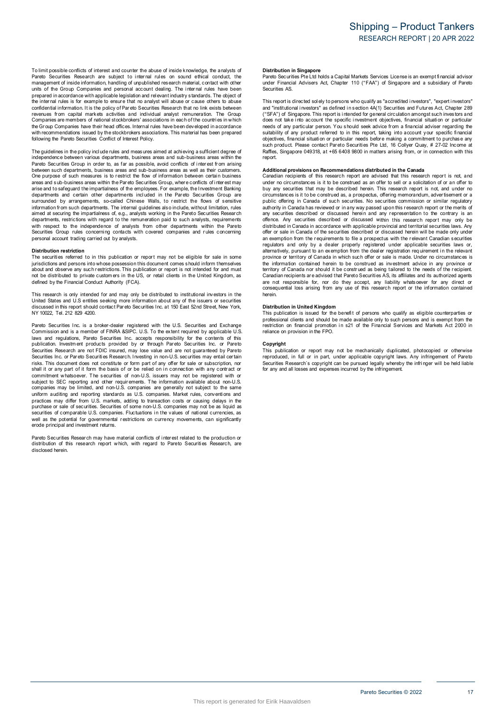To limit possible conflicts of interest and counter the abuse of inside knowledge, the analysts of<br>Pareto Securities Research are subject to internal rules on sound ethical conduct, the<br>management of inside information, ha To limit possible conflicts of interest and counter the abuse of inside knowledge, the analysts of Pareto Securities Research are subject to internal rules on sound ethical conduct, the management of inside information, ha revenues from capital markets activities and individual analyst remuneration. The Group<br>Companies are members of national stockbrokers' associations in each of the countries in which prepared in accordance with applicable legislation and relevant industry standards. The object of<br>the internal rules is for example to ensure that no analyst will abuse or cause others to abuse<br>confidential information. It bompanies are members of national stockbrokers associations in each of the countries in which the Group Companies have their head offices. Internal rules have been developed in accordance following the Pareto Securities Conflict of Interest Policy. with recommendations issued by the stockbrokers associations. This material has been prepared<br>following the Pareto Securities Conflict of Interest Policy.<br>The guidelines in the policy include rules and meas ures aimed at a

independence between various departments, business areas and sub-business areas within the following the Pareto Securities Conflict of Interest Policy.<br>The guidelines in the policy include rules and measures aimed at achieving a sufficient degree of<br>independence between various departments, business areas and su between such departments, business areas and sub-business areas as well as their customers.<br>One purpose of such measures is to restrict the flow of information between certain business The guidelines in the policy include rules and measures aimed at achieving a sufficient degree of Pareto Securities Group in order to, as far as possible, avoid conflicts of interest from arising Pareto Securities Group in Pareto Securities Group in order to, as far as possible, avoid conflicts of interest from arising<br>between such departments, business areas and sub-business areas as well as their customers.<br>One purpose of such measures is surrounded by arrangements, so-called Chinese Walls, to restrict the flows of sensitive information from such departments. The internal guidelines also include, without limitation, rules aimed at security the impartialness with respect to the independence of analysts from other departments within the Pareto information from such departments. The internal guidelines also include, without limitation, rules aimed at securities Research departments, restrictions with regard of the remuneration paid to such analysts with respect t Securities Group rules concerning contacts with covered companies and rules concerning<br>personal account trading carried out by analysts.<br>**Distribution restriction**<br>The securities referred to in this publication or report m

#### **Distribution restriction**

personal account trading carried out by analysts.<br>Distribution restriction<br>The securities referred to in this publication or report may not be eligible for sale in some<br>jurisdictions and persons into whose possession this This research is only intended for and must not be distributed to private customers in the US, or retail clients in the United Kingdom, as defined by the Financial Conduct Authority (FCA).<br>This research is only intended fo

United States and U.S entities seeking more information about any of the issuers or securities defined by the Financial Conduct Authority (FCA).<br>This research is only intended for and may only be distributed to institutional investors in the<br>United States and U.S entities seeking more information about any of the is United States and U.S entities seeking more information about any of the issuers or securities discussed in this report should contact Pareto Securities Inc. at 150 East 52nd Street, New York, NY 10022, Tel. 212 829 4200.<br>

NY 10022, Tel. 212 829 4200.<br>Pareto Securities Inc. is a broker-dealer registered with the U.S. Securities and Exchange<br>Commission and is a member of FINRA &SIPC. U.S. To the extent required by applicable U.S. laws and regulations, Pareto Securities Inc. accepts responsibility for the contents of this Pareto Securities Inc. is a broker-dealer registered with the U.S. Securities and Exchange<br>Commission and is a member of FINRA &SIPC. U.S. To the extent required by applicable U.S<br>laws and regulations, Pareto Securities In laws and regulations, Pareto Securities Inc. accepts responsibility for the contents of this<br>publication. Investment products provided by or through Pareto Securities Inc. or Pareto<br>Securities Research are not FDIC insured risks. This document does not constitute or form part of any offer for sale or subscription, nor<br>shall it or any part of it form the basis of or be relied on in connection with any controm<br>mitment whatsoever. The securitie practices may differ from U.S. markets, adding to transaction costs or causing delays in the purchase or sale of securities. Securities of some non-U.S. companies may not be as liquid as securities of comparable U.S. compa well as the potential for governmental restrictions on currency movements, can significantly erode principal and investment returns. securities of comparable U.S. companies. Fluctuations in the values of national currencies, as<br>well as the potential for governmental restrictions on currency movements, can significantly<br>erode principal and investment ret

disclosed herein.

**Distribution in Singapore** Distribution in Singapore<br>Pareto Securities Pte Ltd holds a Capital Markets Services License is an exempt fi nancial advisor<br>under Financial Advisers Act, Chapter 110 ("FAA") of Singapore and a subsidiary of Pareto Securities AS.

Pareto Securities Pte Ltd holds a Capital Markets Services License is an exempt financial advisor<br>under Financial Advisers Act, Chapter 110 ("FAA") of Singapore and a subsidiary of Pareto<br>Securities AS.<br>This report is dire This report is directed solely to persons who qualify as "accredited investors", "expert investors"<br>and "institutional investors" as defined in section 4A(1) Securities and Futures Act, Chapter 289<br>("SFA") of Singapore. Th suitability of any product referred to in this report, taking into account your specific financial<br>objectives, financial situation or particular needs before making a commitment to purchase any<br>such product. Please contact report. **Additional provisions on Recommendations distributed in the Canada Refles, Singapore 049318, at +65 6408 9800 in matters arising from, or in connection with this report.<br>
<b>Additional provisions on Recommendations distribu** 

Additional provisions on Recommendations distributed in the Canada<br>Canadian recipients of this research report are advised that this research report is not, and<br>under no circumstances is it to be construed as an offer to s Additional provisions on Recommendations distributed in the Canada<br>Canadian recipients of this research report are advised that this research report is not, and<br>under no circumstances is it to be construed as an offer to s circumstances is it to be construed as, a prospectus, offering memorandum, advertisement or a<br>public offering in Canada of such securities. No securities commission or similar regulatory<br>authority in Canada has reviewed or offence. Any securities described or discussed within this research report may only be distributed in Canada in accordance with applicable provincial and territorial securities laws. Any offer or sale in Canada of the secu offence. Any securities described or discussed within this research report may only be distributed in Canada in accordance with applicable provincial and territorial securities laws. Any an exemption from the requirements offer or sale in Canada of the securities described or discussed herein will be made only under requiators and only by a dealer properly registered under applicable securities laws or, alternatively, pursuant to an exempti regulators and only by a dealer properly registered under applicable securities laws or, alternatively, pursuant to an exemption from the dealer registration requirement in the relevant province or territory of Canada in w are not responsible for, nor do they accept, any liability whats oever for any direct or consequential loss arising from any use of this research report or the information contained herein.

#### **Distribution in United Kingdom**

This publication is issued for the benefit of persons who qualify as eligible counterparties or herein.<br> **Distribution in United Kingdom**<br>
This publication is issued for the benefit of persons who qualify as eligible counterparties or<br>
professional clients and should be made available only to such persons and is exem

#### **Copyright**

The publication or report may not be mechanically duplicated, photocopied or otherwise<br>This publication or report may not be mechanically duplicated, photocopied or otherwise reliance on provision in the FPO.<br> **Copyright**<br>
This publication or report may not be mechanically duplicated, photocopied or otherwise<br>
reproduced, in full or in part, under applicable copyright laws. Any infringement of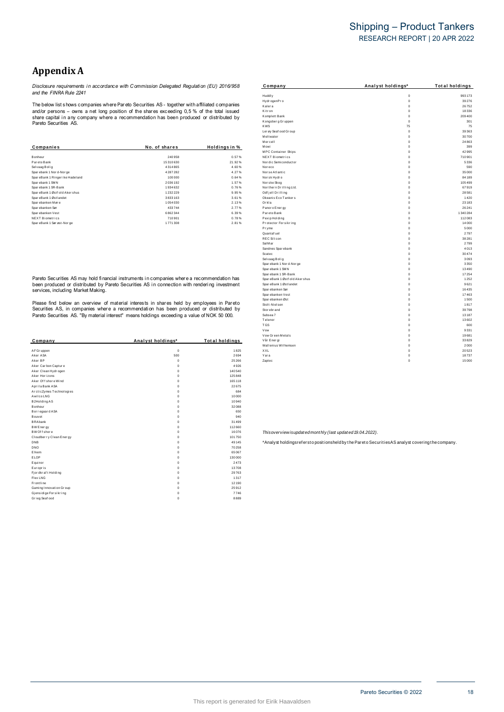# Shipping – Product Tankers RESEARCH REPORT | 20 APR 2022

# **Appendix A**

*Disclosure requirements i n accordance with C ommission Delegated Regulati on (EU) 2016/958 and the FINRA Rule 2241*

|                                  |               |               | Mercell                 |             | 24 86     |
|----------------------------------|---------------|---------------|-------------------------|-------------|-----------|
| Companies                        | No. of shares | Holdings in % | Mowi                    | $\Omega$    | 399       |
|                                  |               |               | MPC Container Ships     |             | 42 99     |
| Bonheur                          | 240958        | 0.57%         | NEXT Biometrics         | $\mathbf 0$ | 71090     |
| Par eto Bank                     | 15310630      | 21.92%        | Nor dic Semi conductor  | $\Omega$    | 5 3 3 4   |
| Selvaag Bolig                    | 4314865       | 4.60%         | Nor eco                 | $\mathbf 0$ | 590       |
| Sparebank 1 Nor d-Nor ge         | 4287282       | 4.27%         | Nor se Atlantic         | $\mathbf 0$ | 35 00     |
| SpareBank 1 Ringer ike Hadel and | 100 000       | 0.64%         | Norsk Hydro             | $\mathbf 0$ | 84 189    |
| Spar ebank 1 SMN                 | 2036192       | 1.57%         | Norske Skog             | $\mathbf 0$ | 105 499   |
| Spar ebank 1 SR-Bank             | 1934632       | 0.76%         | Nor thern Drilling Ltd. | $\Omega$    | 67919     |
| SpareBank 1 Østf old Aker shus   | 1232229       | 9.95%         | Odf jell Drilling       | $\Omega$    | 28 58     |
| SpareBank 1 Østlandet            | 3833163       | 3.61%         | Okeanis Eco Tankers     | $\Omega$    | 1420      |
| Sparebanken Møre                 | 1054030       | 2.13%         | Orkla                   |             | 23 18     |
| Spar ebanken Sør                 | 433744        | 2.77%         | Panor o Ener gy         | $\circ$     | 26 24     |
| Spar ebanken Vest                | 6862344       | 6.39%         | Par eto Bank            | $\Omega$    | 1 340 28  |
| NEXT Biometrics                  | 710901        | 0.78%         | Pexip Holding           | $\Omega$    | 112 08:   |
| SpareBank 1 Sør øst-Nor ge       | 1771308       | 2.81%         | Protector Forsikring    | $\mathbf 0$ | 14 00     |
|                                  |               |               | __                      | $\sim$      | $- - - -$ |

|                           |                   |                | A DAM OF BRITING REST 2                                                                           | v          | 1900   |
|---------------------------|-------------------|----------------|---------------------------------------------------------------------------------------------------|------------|--------|
| Company                   | Analyst holdings* | Total holdings | Vår Ener gi                                                                                       | $\Omega$   | 33 829 |
|                           |                   |                | Wallenius Wilhemsen                                                                               | $\Omega$   | 2000   |
| AF Gr uppen               | $\mathbf{0}$      | 1825           | XXL                                                                                               | $^{\circ}$ | 20 52  |
| Aker ASA                  | 500               | 2694           | Yara                                                                                              | $\circ$    | 18737  |
| Aker BP                   | $\Omega$          | 25 26 6        | Zaptec                                                                                            | 0          | 15 00  |
| Aker Carbon Capture       | $\Omega$          | 4926           |                                                                                                   |            |        |
| Aker Clean Hydrogen       |                   | 140 540        |                                                                                                   |            |        |
| Aker Horizons             |                   | 125 848        |                                                                                                   |            |        |
| Aker Of f shore Wind      |                   | 165 118        |                                                                                                   |            |        |
| Aprila Bank ASA           |                   | 22675          |                                                                                                   |            |        |
| Ar cticZymes Technologies |                   | 684            |                                                                                                   |            |        |
| Awilco LNG                |                   | 10 000         |                                                                                                   |            |        |
| B2Holding AS              |                   | 10940          |                                                                                                   |            |        |
| Bonheur                   |                   | 32088          |                                                                                                   |            |        |
| Bor regaar d ASA          |                   | 650            |                                                                                                   |            |        |
| Bouvet                    |                   | 940            |                                                                                                   |            |        |
| <b>BRAbank</b>            |                   | 31499          |                                                                                                   |            |        |
| BW Energy                 |                   | 112 660        |                                                                                                   |            |        |
| BW Of f shore             |                   | 16076          | Thisoverview isupdated monthly (last updated 19.04.2022).                                         |            |        |
| Cloudber ry Clean Energy  |                   | 101750         |                                                                                                   |            |        |
| DNB                       |                   | 49 145         | *Analyst holdingsrefersto positionsheld by the Pareto Securities AS analyst covering the company. |            |        |
| DNO                       |                   | 70258          |                                                                                                   |            |        |
| Elkem                     |                   | 65 067         |                                                                                                   |            |        |
| ELOP                      |                   | 130 000        |                                                                                                   |            |        |
| Equinor                   |                   | 2473           |                                                                                                   |            |        |
| Europris                  |                   | 13708          |                                                                                                   |            |        |
| Fjordkraft Holding        |                   | 29763          |                                                                                                   |            |        |
| Flex LNG                  |                   | 1317           |                                                                                                   |            |        |
| Frontline                 |                   | 12 19 0        |                                                                                                   |            |        |
| Gaming Innovation Group   |                   | 25912          |                                                                                                   |            |        |
| Gjensidige For sikring    |                   | 7746           |                                                                                                   |            |        |
| Grieg Seaf ood            | $\Omega$          | 8889           |                                                                                                   |            |        |
|                           |                   |                |                                                                                                   |            |        |

| Appendix A                                                                                     |                   |                       |                                               |                              |                       |
|------------------------------------------------------------------------------------------------|-------------------|-----------------------|-----------------------------------------------|------------------------------|-----------------------|
| Disclosure requirements in accordance with Commission Delegated Regulation (EU) 2016/958       |                   |                       | Company                                       | Analyst holdings*            | <b>Total holdings</b> |
| and the FINRA Rule 2241                                                                        |                   |                       | Huddly<br>Hydr ogenPr o                       | $\mathbb O$<br>$\mathbb O$   | 993 173<br>39 276     |
| The below list shows companies where Pareto Securities AS - together with affiliated companies |                   |                       | Kalera                                        | $\mathbf{0}$                 | 26752                 |
| and/or persons – owns a net long position of the shares exceeding 0,5 % of the total issued    |                   |                       | Kitr on                                       | $\mathbf{0}$                 | 18336                 |
|                                                                                                |                   |                       | Komplett Bank                                 | $\mathbf{0}$                 | 209 400               |
| share capital in any company where a recommendation has been produced or distributed by        |                   |                       | Kongsber g Gr uppen                           | $\mathbf{0}$                 | 301                   |
| Pareto Securities AS.                                                                          |                   |                       | <b>KWS</b>                                    | 75                           | 75                    |
|                                                                                                |                   |                       | Ler øy Seaf ood Gr oup                        | $\mathbf{0}$                 | 39 36 3               |
|                                                                                                |                   |                       | Meltwate                                      | $\Omega$                     | 30700                 |
|                                                                                                |                   |                       | Mercell                                       | $\circ$                      | 24 863                |
| Companies                                                                                      | No. of shares     | Holdings in %         | Mowi                                          | $\mathbf{0}$                 | 399                   |
|                                                                                                |                   |                       | <b>MPC</b> Container Ships                    | $\circ$                      | 42995                 |
| Bonheur                                                                                        | 240 958           | 0.57%                 | NEXT Biometrics                               | $\mathbf{0}$                 | 710 901               |
| Pareto Bank                                                                                    | 15310630          | 21.92%                | Nor dic Semiconductor                         | $\mathbf{0}$                 | 5336                  |
| Sel vaag Bolig                                                                                 | 4314865           | 4.60%                 | Nor eco                                       | $\mathbf{0}$                 | 590                   |
| Sparebank 1 Nor d-Nor ge                                                                       | 4 287 282         | 4.27%                 | Nor se Atlantic                               | $\mathbf{0}$                 | 35 000                |
| SpareBank 1 Ringer ike Hadeland                                                                | 100 000           | 0.64%                 | Norsk Hydro                                   | $\mathbf{0}$                 | 84 189                |
| Spar ebank 1 SMN                                                                               | 2036192           | 1.57%                 | Nor ske Skog                                  | $\mathbb O$                  | 105 499               |
| Spar ebank 1 SR-Bank                                                                           | 1934632           | 0.76%                 | Nor ther n Drilling Ltd.                      | $\circ$                      | 67919                 |
| SpareBank 1 Østf old Akershus                                                                  | 1 2 3 2 2 2 9     | 9.95%                 | Odf jell Drilling                             | $\circ$                      | 28 5 8 1              |
| SpareBank 1 Østlandet                                                                          | 3833163           | 3.61%                 | Okeanis Eco Tankers                           | $\circ$                      | 1420                  |
| Sparebanken Møre                                                                               | 1054030           | 2.13%                 | Orkla                                         | $\circ$                      | 23 183                |
| Spar ebanken Sør                                                                               | 433744            | 2.77%                 | Panor o Ener gy                               | $\circ$                      | 26 241                |
| Spar ebanken Vest                                                                              | 6862344           | 6.39%                 | Par eto Bank                                  | $\circ$                      | 1340284               |
| <b>NEXT Biometrics</b>                                                                         | 710901            | 0.78%                 | Pexip Holding                                 | $\circ$                      | 112083                |
| SpareBank 1 Sørøst-Norge                                                                       | 1771308           | 2.81%                 | Protector Forsikring                          | $\circ$                      | 14 000                |
|                                                                                                |                   |                       | Pryme                                         | $\circ$                      | 5000                  |
|                                                                                                |                   |                       | Quantaf uel                                   | $^{\circ}$                   | 2797                  |
|                                                                                                |                   |                       | <b>REC Silicon</b>                            | $\circ$                      | 38 28 1               |
|                                                                                                |                   |                       | Sal M ar                                      | $\Omega$<br>$\Omega$         | 2799                  |
|                                                                                                |                   |                       | Sandnes Spar ebank                            |                              | 4013                  |
|                                                                                                |                   |                       | Scatec                                        | $\mathbf{0}$<br>$\mathbf{0}$ | 30474                 |
|                                                                                                |                   |                       | Selvaag Bolig                                 | $\mathbf{0}$                 | 3093<br>3350          |
|                                                                                                |                   |                       | Spar ebank 1 Nor d-Nor ge<br>Spar ebank 1 SMN | $\mathbf{0}$                 | 13490                 |
|                                                                                                |                   |                       | Spar ebank 1 SR-Bank                          | $\mathbf{0}$                 | 17254                 |
| Pareto Securities AS may hold financial instruments in companies where a recommendation has    |                   |                       | SpareBank 1 Østf old Aker shus                | $\mathbf{0}$                 | 1252                  |
| been produced or distributed by Pareto Securities AS in connection with rendering investment   |                   |                       | Spar eBank 1 Østlandet                        | $\mathbf{0}$                 | 9621                  |
| services, including Market Making.                                                             |                   |                       | Spar ebanken Sør                              | $\mathbf{0}$                 | 16435                 |
|                                                                                                |                   |                       | Spar ebanken Vest                             | $\mathbf{0}$                 | 17463                 |
|                                                                                                |                   |                       | Spar ebanken Øst                              | $\mathbf{0}$                 | 1500                  |
| Please find below an overview of material interests in shares held by employees in Pareto      |                   |                       | Stolt-Nielsen                                 | $\mathbf{0}$                 | 1817                  |
| Securities AS, in companies where a recommendation has been produced or distributed by         |                   |                       | Stor ebr and                                  | $\mathbf{0}$                 | 39798                 |
| Pareto Securities AS. "By material interest" means holdings exceeding a value of NOK 50 000.   |                   |                       | Subsea 7                                      | $\mathbf{0}$                 | 13 187                |
|                                                                                                |                   |                       | Telenor                                       | $\circ$                      | 13602                 |
|                                                                                                |                   |                       | <b>TGS</b>                                    | $\mathbf{0}$                 | 600                   |
|                                                                                                |                   |                       | Vow                                           | $\mathbf{0}$                 | 9331                  |
|                                                                                                |                   |                       | Vow Green Metals                              | $\mathbf{0}$                 | 19681                 |
| Company                                                                                        | Analyst holdings* | <b>Total holdings</b> | Vår Ener gi                                   | $\mathbb O$                  | 33829                 |
|                                                                                                |                   |                       | Wallenius Wilhemsen                           | $\mathbf{0}$                 | 2000                  |
| AF Gruppen                                                                                     | $^{\circ}$        | 1825                  | XXL                                           | $\circ$                      | 20523                 |
| Aker ASA                                                                                       | 500               | 2694                  | Yara                                          | $\Omega$                     | 18737                 |
| Aker BP                                                                                        | $^{\circ}$        | 25 26 6               | Zaptec                                        | $\circ$                      | 15 000                |